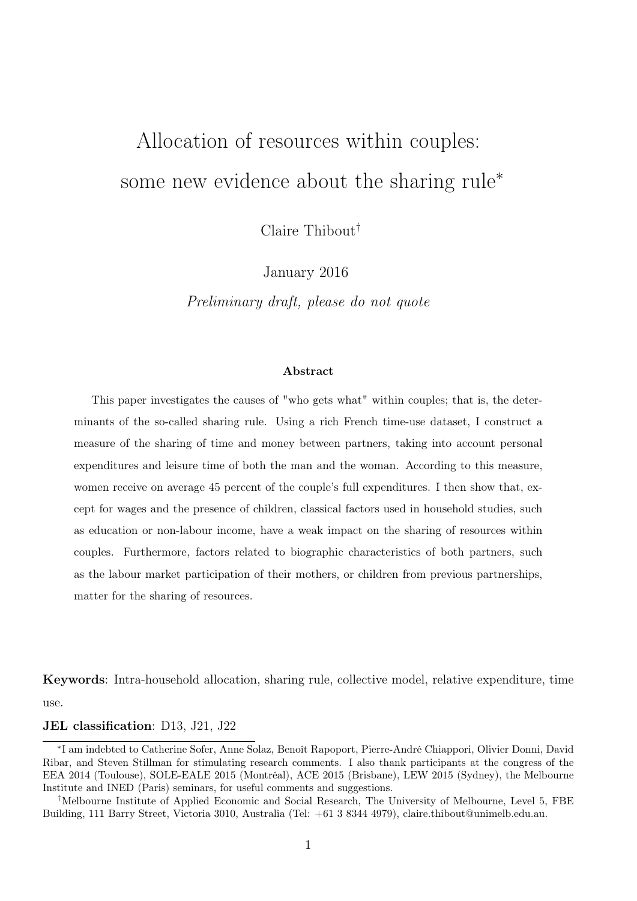# <span id="page-0-0"></span>Allocation of resources within couples: some new evidence about the sharing rule<sup>\*</sup>

Claire Thibout†

January 2016

Preliminary draft, please do not quote

#### Abstract

This paper investigates the causes of "who gets what" within couples; that is, the determinants of the so-called sharing rule. Using a rich French time-use dataset, I construct a measure of the sharing of time and money between partners, taking into account personal expenditures and leisure time of both the man and the woman. According to this measure, women receive on average 45 percent of the couple's full expenditures. I then show that, except for wages and the presence of children, classical factors used in household studies, such as education or non-labour income, have a weak impact on the sharing of resources within couples. Furthermore, factors related to biographic characteristics of both partners, such as the labour market participation of their mothers, or children from previous partnerships, matter for the sharing of resources.

Keywords: Intra-household allocation, sharing rule, collective model, relative expenditure, time use.

JEL classification: D13, J21, J22

<sup>∗</sup> I am indebted to Catherine Sofer, Anne Solaz, Benoît Rapoport, Pierre-André Chiappori, Olivier Donni, David Ribar, and Steven Stillman for stimulating research comments. I also thank participants at the congress of the EEA 2014 (Toulouse), SOLE-EALE 2015 (Montréal), ACE 2015 (Brisbane), LEW 2015 (Sydney), the Melbourne Institute and INED (Paris) seminars, for useful comments and suggestions.

<sup>†</sup>Melbourne Institute of Applied Economic and Social Research, The University of Melbourne, Level 5, FBE Building, 111 Barry Street, Victoria 3010, Australia (Tel: +61 3 8344 4979), claire.thibout@unimelb.edu.au.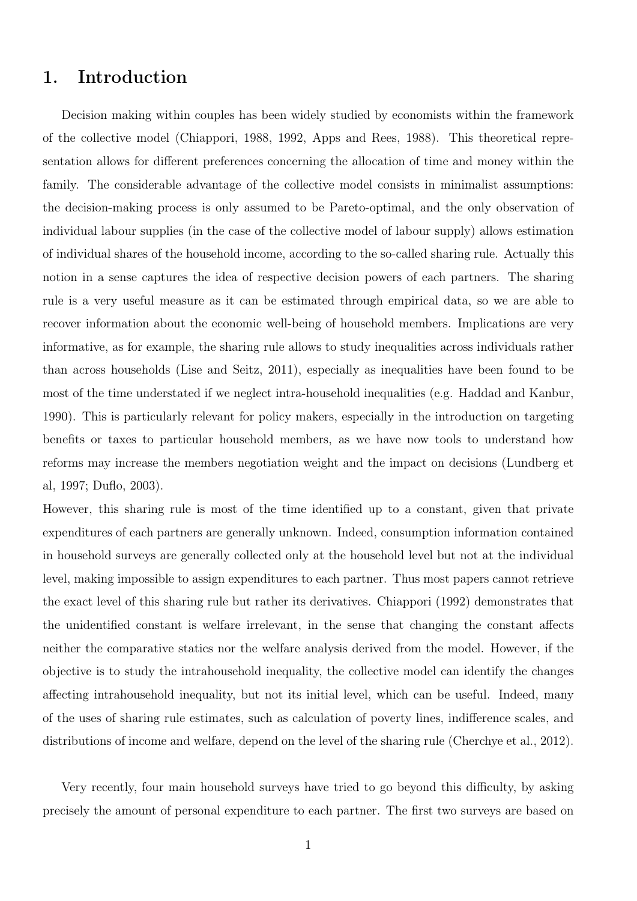# 1. Introduction

Decision making within couples has been widely studied by economists within the framework of the collective model (Chiappori, 1988, 1992, Apps and Rees, 1988). This theoretical representation allows for different preferences concerning the allocation of time and money within the family. The considerable advantage of the collective model consists in minimalist assumptions: the decision-making process is only assumed to be Pareto-optimal, and the only observation of individual labour supplies (in the case of the collective model of labour supply) allows estimation of individual shares of the household income, according to the so-called sharing rule. Actually this notion in a sense captures the idea of respective decision powers of each partners. The sharing rule is a very useful measure as it can be estimated through empirical data, so we are able to recover information about the economic well-being of household members. Implications are very informative, as for example, the sharing rule allows to study inequalities across individuals rather than across households (Lise and Seitz, 2011), especially as inequalities have been found to be most of the time understated if we neglect intra-household inequalities (e.g. Haddad and Kanbur, 1990). This is particularly relevant for policy makers, especially in the introduction on targeting benefits or taxes to particular household members, as we have now tools to understand how reforms may increase the members negotiation weight and the impact on decisions (Lundberg et al, 1997; Duflo, 2003).

However, this sharing rule is most of the time identified up to a constant, given that private expenditures of each partners are generally unknown. Indeed, consumption information contained in household surveys are generally collected only at the household level but not at the individual level, making impossible to assign expenditures to each partner. Thus most papers cannot retrieve the exact level of this sharing rule but rather its derivatives. Chiappori (1992) demonstrates that the unidentified constant is welfare irrelevant, in the sense that changing the constant affects neither the comparative statics nor the welfare analysis derived from the model. However, if the objective is to study the intrahousehold inequality, the collective model can identify the changes affecting intrahousehold inequality, but not its initial level, which can be useful. Indeed, many of the uses of sharing rule estimates, such as calculation of poverty lines, indifference scales, and distributions of income and welfare, depend on the level of the sharing rule (Cherchye et al., 2012).

Very recently, four main household surveys have tried to go beyond this difficulty, by asking precisely the amount of personal expenditure to each partner. The first two surveys are based on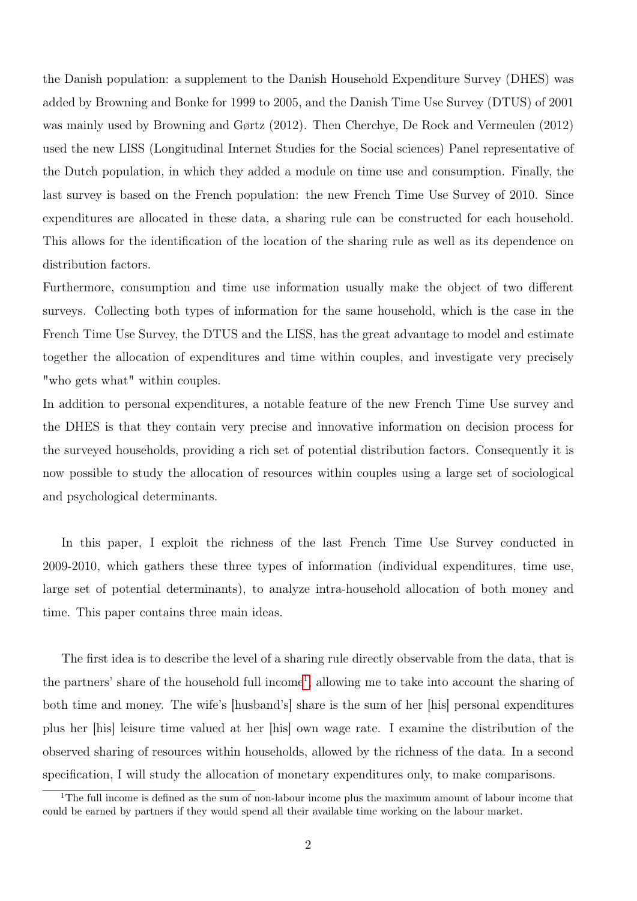the Danish population: a supplement to the Danish Household Expenditure Survey (DHES) was added by Browning and Bonke for 1999 to 2005, and the Danish Time Use Survey (DTUS) of 2001 was mainly used by Browning and Gørtz (2012). Then Cherchye, De Rock and Vermeulen (2012) used the new LISS (Longitudinal Internet Studies for the Social sciences) Panel representative of the Dutch population, in which they added a module on time use and consumption. Finally, the last survey is based on the French population: the new French Time Use Survey of 2010. Since expenditures are allocated in these data, a sharing rule can be constructed for each household. This allows for the identification of the location of the sharing rule as well as its dependence on distribution factors.

Furthermore, consumption and time use information usually make the object of two different surveys. Collecting both types of information for the same household, which is the case in the French Time Use Survey, the DTUS and the LISS, has the great advantage to model and estimate together the allocation of expenditures and time within couples, and investigate very precisely "who gets what" within couples.

In addition to personal expenditures, a notable feature of the new French Time Use survey and the DHES is that they contain very precise and innovative information on decision process for the surveyed households, providing a rich set of potential distribution factors. Consequently it is now possible to study the allocation of resources within couples using a large set of sociological and psychological determinants.

In this paper, I exploit the richness of the last French Time Use Survey conducted in 2009-2010, which gathers these three types of information (individual expenditures, time use, large set of potential determinants), to analyze intra-household allocation of both money and time. This paper contains three main ideas.

The first idea is to describe the level of a sharing rule directly observable from the data, that is the partners' share of the household full income<sup>[1](#page-0-0)</sup>, allowing me to take into account the sharing of both time and money. The wife's [husband's] share is the sum of her [his] personal expenditures plus her [his] leisure time valued at her [his] own wage rate. I examine the distribution of the observed sharing of resources within households, allowed by the richness of the data. In a second specification, I will study the allocation of monetary expenditures only, to make comparisons.

<sup>&</sup>lt;sup>1</sup>The full income is defined as the sum of non-labour income plus the maximum amount of labour income that could be earned by partners if they would spend all their available time working on the labour market.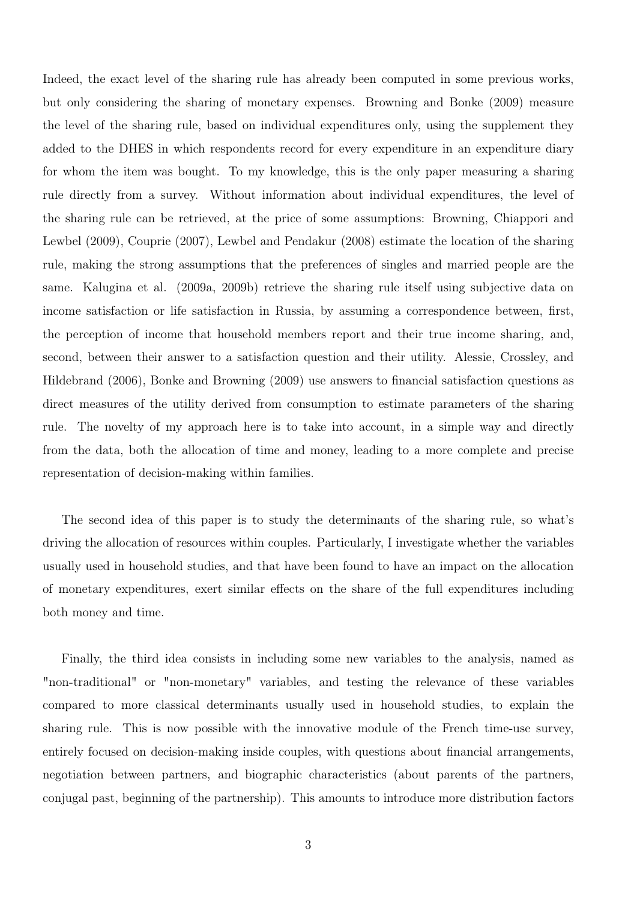Indeed, the exact level of the sharing rule has already been computed in some previous works, but only considering the sharing of monetary expenses. Browning and Bonke (2009) measure the level of the sharing rule, based on individual expenditures only, using the supplement they added to the DHES in which respondents record for every expenditure in an expenditure diary for whom the item was bought. To my knowledge, this is the only paper measuring a sharing rule directly from a survey. Without information about individual expenditures, the level of the sharing rule can be retrieved, at the price of some assumptions: Browning, Chiappori and Lewbel (2009), Couprie (2007), Lewbel and Pendakur (2008) estimate the location of the sharing rule, making the strong assumptions that the preferences of singles and married people are the same. Kalugina et al. (2009a, 2009b) retrieve the sharing rule itself using subjective data on income satisfaction or life satisfaction in Russia, by assuming a correspondence between, first, the perception of income that household members report and their true income sharing, and, second, between their answer to a satisfaction question and their utility. Alessie, Crossley, and Hildebrand (2006), Bonke and Browning (2009) use answers to financial satisfaction questions as direct measures of the utility derived from consumption to estimate parameters of the sharing rule. The novelty of my approach here is to take into account, in a simple way and directly from the data, both the allocation of time and money, leading to a more complete and precise representation of decision-making within families.

The second idea of this paper is to study the determinants of the sharing rule, so what's driving the allocation of resources within couples. Particularly, I investigate whether the variables usually used in household studies, and that have been found to have an impact on the allocation of monetary expenditures, exert similar effects on the share of the full expenditures including both money and time.

Finally, the third idea consists in including some new variables to the analysis, named as "non-traditional" or "non-monetary" variables, and testing the relevance of these variables compared to more classical determinants usually used in household studies, to explain the sharing rule. This is now possible with the innovative module of the French time-use survey, entirely focused on decision-making inside couples, with questions about financial arrangements, negotiation between partners, and biographic characteristics (about parents of the partners, conjugal past, beginning of the partnership). This amounts to introduce more distribution factors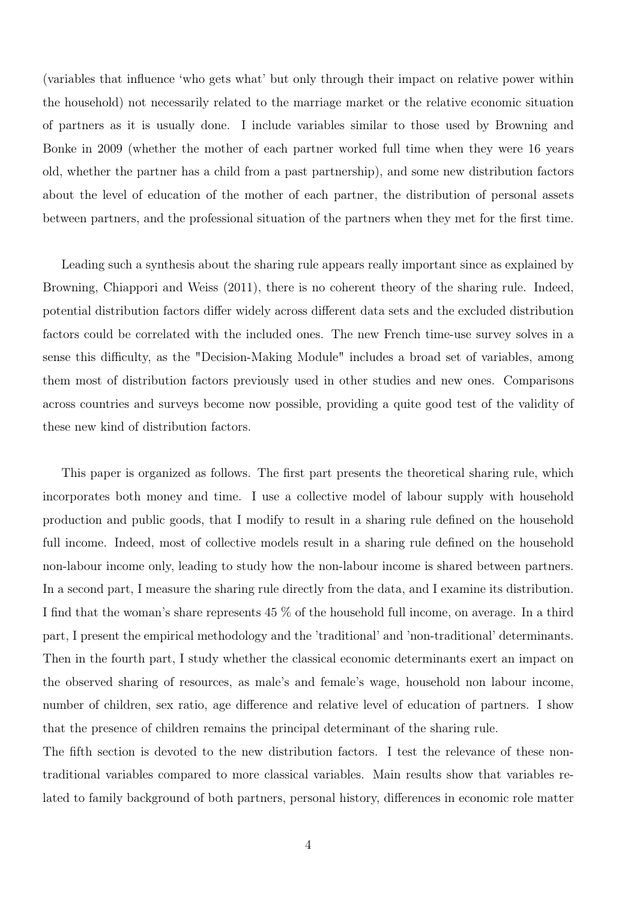(variables that influence 'who gets what' but only through their impact on relative power within the household) not necessarily related to the marriage market or the relative economic situation of partners as it is usually done. I include variables similar to those used by Browning and Bonke in 2009 (whether the mother of each partner worked full time when they were 16 years old, whether the partner has a child from a past partnership), and some new distribution factors about the level of education of the mother of each partner, the distribution of personal assets between partners, and the professional situation of the partners when they met for the first time.

Leading such a synthesis about the sharing rule appears really important since as explained by Browning, Chiappori and Weiss (2011), there is no coherent theory of the sharing rule. Indeed, potential distribution factors differ widely across different data sets and the excluded distribution factors could be correlated with the included ones. The new French time-use survey solves in a sense this difficulty, as the "Decision-Making Module" includes a broad set of variables, among them most of distribution factors previously used in other studies and new ones. Comparisons across countries and surveys become now possible, providing a quite good test of the validity of these new kind of distribution factors.

This paper is organized as follows. The first part presents the theoretical sharing rule, which incorporates both money and time. I use a collective model of labour supply with household production and public goods, that I modify to result in a sharing rule defined on the household full income. Indeed, most of collective models result in a sharing rule defined on the household non-labour income only, leading to study how the non-labour income is shared between partners. In a second part, I measure the sharing rule directly from the data, and I examine its distribution. I find that the woman's share represents 45 % of the household full income, on average. In a third part, I present the empirical methodology and the 'traditional' and 'non-traditional' determinants. Then in the fourth part, I study whether the classical economic determinants exert an impact on the observed sharing of resources, as male's and female's wage, household non labour income, number of children, sex ratio, age difference and relative level of education of partners. I show that the presence of children remains the principal determinant of the sharing rule.

The fifth section is devoted to the new distribution factors. I test the relevance of these nontraditional variables compared to more classical variables. Main results show that variables related to family background of both partners, personal history, differences in economic role matter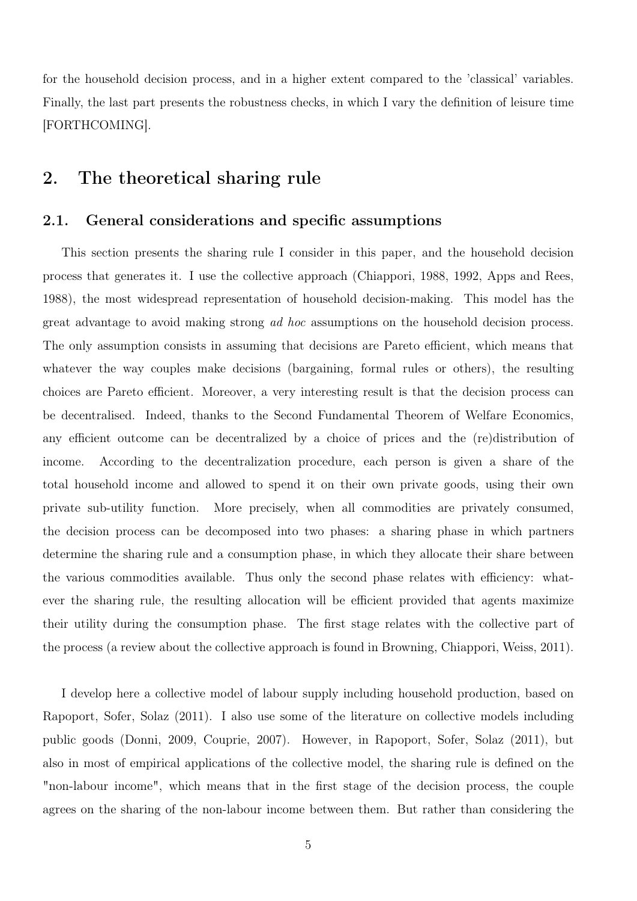for the household decision process, and in a higher extent compared to the 'classical' variables. Finally, the last part presents the robustness checks, in which I vary the definition of leisure time [FORTHCOMING].

# 2. The theoretical sharing rule

### 2.1. General considerations and specific assumptions

This section presents the sharing rule I consider in this paper, and the household decision process that generates it. I use the collective approach (Chiappori, 1988, 1992, Apps and Rees, 1988), the most widespread representation of household decision-making. This model has the great advantage to avoid making strong ad hoc assumptions on the household decision process. The only assumption consists in assuming that decisions are Pareto efficient, which means that whatever the way couples make decisions (bargaining, formal rules or others), the resulting choices are Pareto efficient. Moreover, a very interesting result is that the decision process can be decentralised. Indeed, thanks to the Second Fundamental Theorem of Welfare Economics, any efficient outcome can be decentralized by a choice of prices and the (re)distribution of income. According to the decentralization procedure, each person is given a share of the total household income and allowed to spend it on their own private goods, using their own private sub-utility function. More precisely, when all commodities are privately consumed, the decision process can be decomposed into two phases: a sharing phase in which partners determine the sharing rule and a consumption phase, in which they allocate their share between the various commodities available. Thus only the second phase relates with efficiency: whatever the sharing rule, the resulting allocation will be efficient provided that agents maximize their utility during the consumption phase. The first stage relates with the collective part of the process (a review about the collective approach is found in Browning, Chiappori, Weiss, 2011).

I develop here a collective model of labour supply including household production, based on Rapoport, Sofer, Solaz (2011). I also use some of the literature on collective models including public goods (Donni, 2009, Couprie, 2007). However, in Rapoport, Sofer, Solaz (2011), but also in most of empirical applications of the collective model, the sharing rule is defined on the "non-labour income", which means that in the first stage of the decision process, the couple agrees on the sharing of the non-labour income between them. But rather than considering the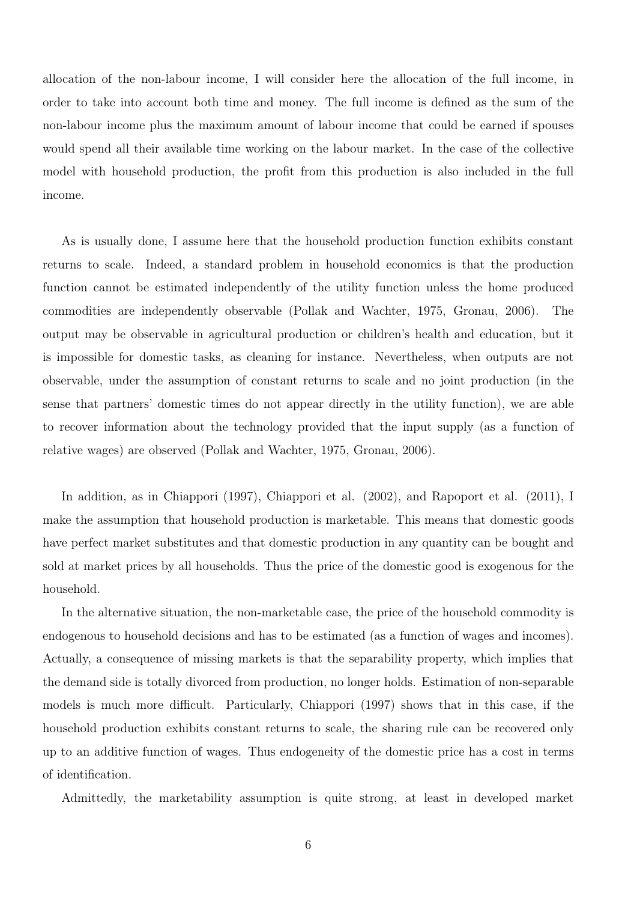allocation of the non-labour income, I will consider here the allocation of the full income, in order to take into account both time and money. The full income is defined as the sum of the non-labour income plus the maximum amount of labour income that could be earned if spouses would spend all their available time working on the labour market. In the case of the collective model with household production, the profit from this production is also included in the full income.

As is usually done, I assume here that the household production function exhibits constant returns to scale. Indeed, a standard problem in household economics is that the production function cannot be estimated independently of the utility function unless the home produced commodities are independently observable (Pollak and Wachter, 1975, Gronau, 2006). The output may be observable in agricultural production or children's health and education, but it is impossible for domestic tasks, as cleaning for instance. Nevertheless, when outputs are not observable, under the assumption of constant returns to scale and no joint production (in the sense that partners' domestic times do not appear directly in the utility function), we are able to recover information about the technology provided that the input supply (as a function of relative wages) are observed (Pollak and Wachter, 1975, Gronau, 2006).

In addition, as in Chiappori (1997), Chiappori et al. (2002), and Rapoport et al. (2011), I make the assumption that household production is marketable. This means that domestic goods have perfect market substitutes and that domestic production in any quantity can be bought and sold at market prices by all households. Thus the price of the domestic good is exogenous for the household.

In the alternative situation, the non-marketable case, the price of the household commodity is endogenous to household decisions and has to be estimated (as a function of wages and incomes). Actually, a consequence of missing markets is that the separability property, which implies that the demand side is totally divorced from production, no longer holds. Estimation of non-separable models is much more difficult. Particularly, Chiappori (1997) shows that in this case, if the household production exhibits constant returns to scale, the sharing rule can be recovered only up to an additive function of wages. Thus endogeneity of the domestic price has a cost in terms of identification.

Admittedly, the marketability assumption is quite strong, at least in developed market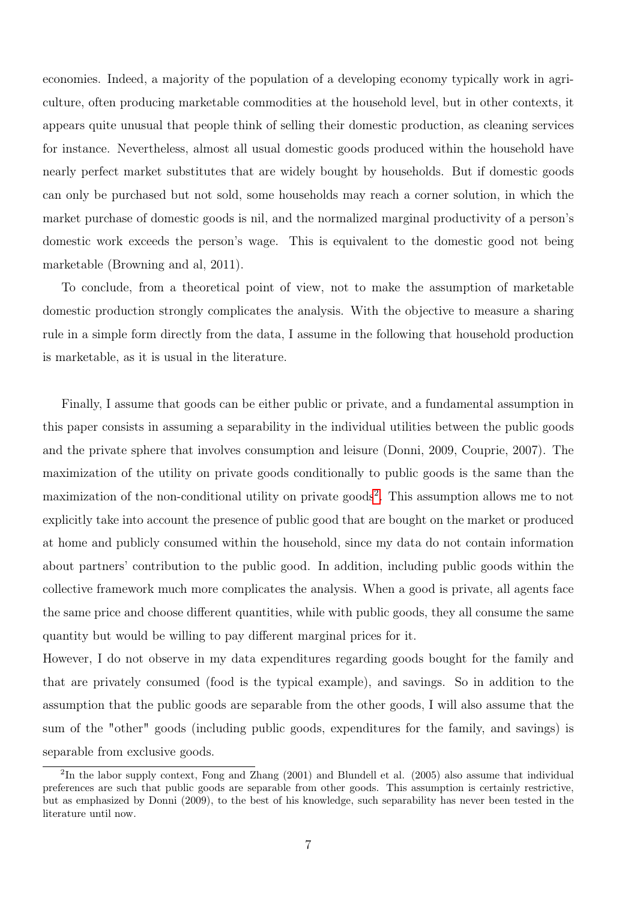economies. Indeed, a majority of the population of a developing economy typically work in agriculture, often producing marketable commodities at the household level, but in other contexts, it appears quite unusual that people think of selling their domestic production, as cleaning services for instance. Nevertheless, almost all usual domestic goods produced within the household have nearly perfect market substitutes that are widely bought by households. But if domestic goods can only be purchased but not sold, some households may reach a corner solution, in which the market purchase of domestic goods is nil, and the normalized marginal productivity of a person's domestic work exceeds the person's wage. This is equivalent to the domestic good not being marketable (Browning and al, 2011).

To conclude, from a theoretical point of view, not to make the assumption of marketable domestic production strongly complicates the analysis. With the objective to measure a sharing rule in a simple form directly from the data, I assume in the following that household production is marketable, as it is usual in the literature.

Finally, I assume that goods can be either public or private, and a fundamental assumption in this paper consists in assuming a separability in the individual utilities between the public goods and the private sphere that involves consumption and leisure (Donni, 2009, Couprie, 2007). The maximization of the utility on private goods conditionally to public goods is the same than the maximization of the non-conditional utility on private goods<sup>[2](#page-0-0)</sup>. This assumption allows me to not explicitly take into account the presence of public good that are bought on the market or produced at home and publicly consumed within the household, since my data do not contain information about partners' contribution to the public good. In addition, including public goods within the collective framework much more complicates the analysis. When a good is private, all agents face the same price and choose different quantities, while with public goods, they all consume the same quantity but would be willing to pay different marginal prices for it.

However, I do not observe in my data expenditures regarding goods bought for the family and that are privately consumed (food is the typical example), and savings. So in addition to the assumption that the public goods are separable from the other goods, I will also assume that the sum of the "other" goods (including public goods, expenditures for the family, and savings) is separable from exclusive goods.

 ${}^{2}$ In the labor supply context, Fong and Zhang (2001) and Blundell et al. (2005) also assume that individual preferences are such that public goods are separable from other goods. This assumption is certainly restrictive, but as emphasized by Donni (2009), to the best of his knowledge, such separability has never been tested in the literature until now.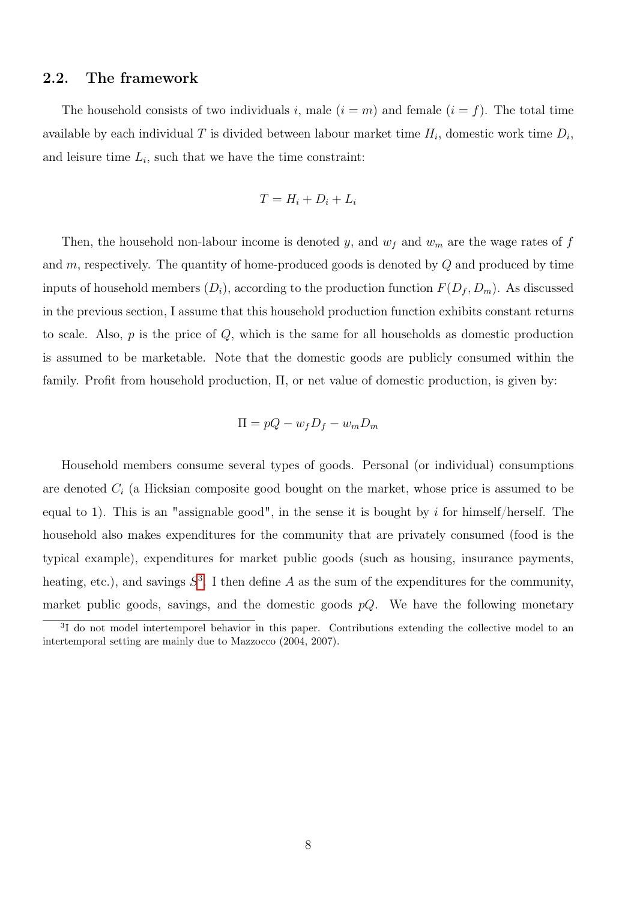### 2.2. The framework

The household consists of two individuals i, male  $(i = m)$  and female  $(i = f)$ . The total time available by each individual T is divided between labour market time  $H_i$ , domestic work time  $D_i$ , and leisure time  $L_i$ , such that we have the time constraint:

$$
T = H_i + D_i + L_i
$$

Then, the household non-labour income is denoted y, and  $w_f$  and  $w_m$  are the wage rates of f and  $m$ , respectively. The quantity of home-produced goods is denoted by  $Q$  and produced by time inputs of household members  $(D_i)$ , according to the production function  $F(D_f, D_m)$ . As discussed in the previous section, I assume that this household production function exhibits constant returns to scale. Also,  $p$  is the price of  $Q$ , which is the same for all households as domestic production is assumed to be marketable. Note that the domestic goods are publicly consumed within the family. Profit from household production, Π, or net value of domestic production, is given by:

$$
\Pi = pQ - w_f D_f - w_m D_m
$$

Household members consume several types of goods. Personal (or individual) consumptions are denoted  $C_i$  (a Hicksian composite good bought on the market, whose price is assumed to be equal to 1). This is an "assignable good", in the sense it is bought by i for himself/herself. The household also makes expenditures for the community that are privately consumed (food is the typical example), expenditures for market public goods (such as housing, insurance payments, heating, etc.), and savings  $S^3$  $S^3$ . I then define A as the sum of the expenditures for the community, market public goods, savings, and the domestic goods  $pQ$ . We have the following monetary

<sup>&</sup>lt;sup>3</sup>I do not model intertemporel behavior in this paper. Contributions extending the collective model to an intertemporal setting are mainly due to Mazzocco (2004, 2007).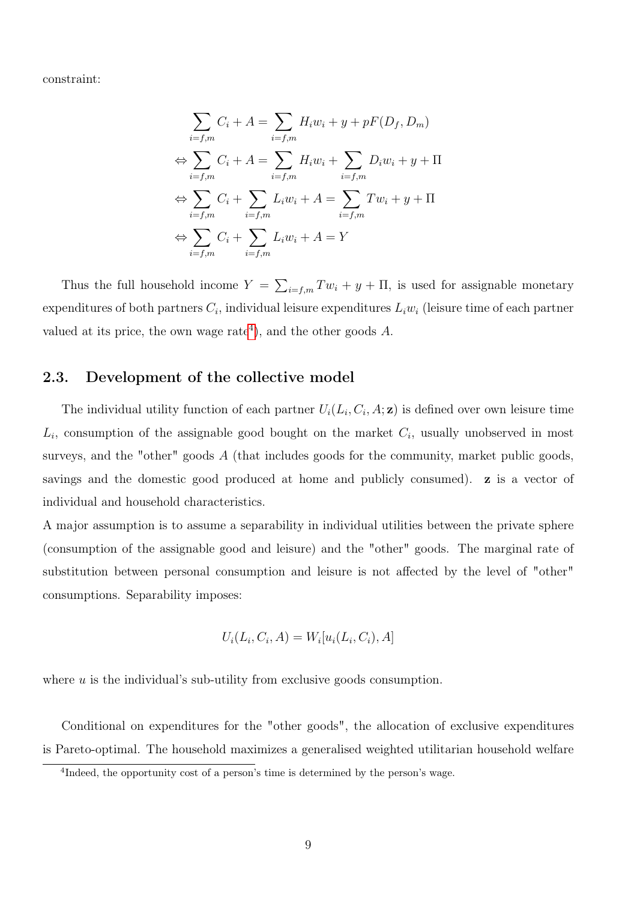constraint:

$$
\sum_{i=f,m} C_i + A = \sum_{i=f,m} H_i w_i + y + pF(D_f, D_m)
$$
  
\n
$$
\Leftrightarrow \sum_{i=f,m} C_i + A = \sum_{i=f,m} H_i w_i + \sum_{i=f,m} D_i w_i + y + \Pi
$$
  
\n
$$
\Leftrightarrow \sum_{i=f,m} C_i + \sum_{i=f,m} L_i w_i + A = \sum_{i=f,m} T w_i + y + \Pi
$$
  
\n
$$
\Leftrightarrow \sum_{i=f,m} C_i + \sum_{i=f,m} L_i w_i + A = Y
$$

Thus the full household income  $Y = \sum_{i=f,m} Tw_i + y + \Pi$ , is used for assignable monetary expenditures of both partners  $C_i$ , individual leisure expenditures  $L_i w_i$  (leisure time of each partner valued at its price, the own wage rate<sup>[4](#page-0-0)</sup>), and the other goods  $A$ .

### 2.3. Development of the collective model

The individual utility function of each partner  $U_i(L_i, C_i, A; \mathbf{z})$  is defined over own leisure time  $L_i$ , consumption of the assignable good bought on the market  $C_i$ , usually unobserved in most surveys, and the "other" goods  $A$  (that includes goods for the community, market public goods, savings and the domestic good produced at home and publicly consumed). z is a vector of individual and household characteristics.

A major assumption is to assume a separability in individual utilities between the private sphere (consumption of the assignable good and leisure) and the "other" goods. The marginal rate of substitution between personal consumption and leisure is not affected by the level of "other" consumptions. Separability imposes:

$$
U_i(L_i, C_i, A) = W_i[u_i(L_i, C_i), A]
$$

where  $u$  is the individual's sub-utility from exclusive goods consumption.

Conditional on expenditures for the "other goods", the allocation of exclusive expenditures is Pareto-optimal. The household maximizes a generalised weighted utilitarian household welfare

<sup>&</sup>lt;sup>4</sup>Indeed, the opportunity cost of a person's time is determined by the person's wage.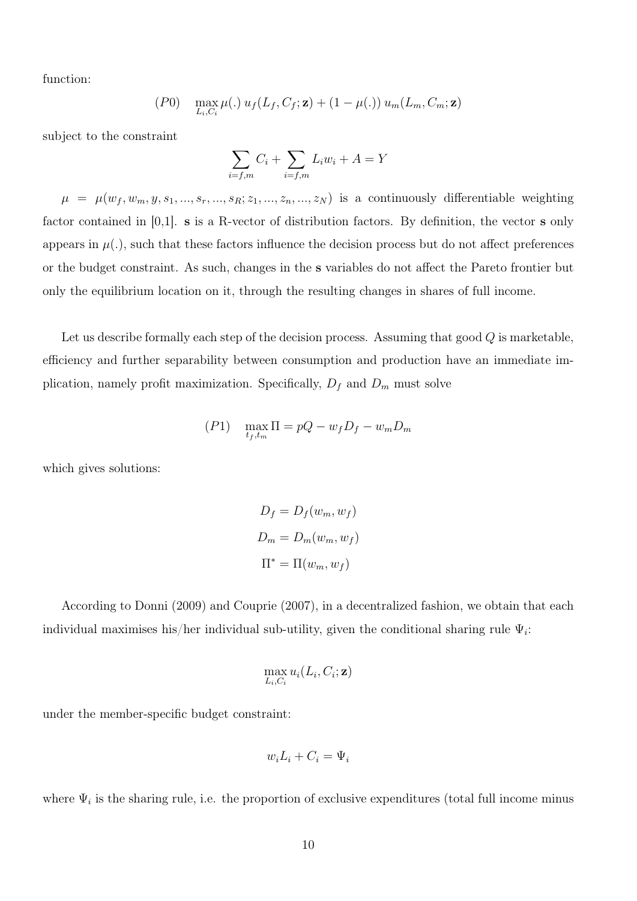function:

$$
(P0) \quad \max_{L_i, C_i} \mu(.) u_f(L_f, C_f; \mathbf{z}) + (1 - \mu(.)) u_m(L_m, C_m; \mathbf{z})
$$

subject to the constraint

$$
\sum_{i=f,m} C_i + \sum_{i=f,m} L_i w_i + A = Y
$$

 $\mu = \mu(w_f, w_m, y, s_1, \ldots, s_r, \ldots, s_R; z_1, \ldots, z_n, \ldots, z_N)$  is a continuously differentiable weighting factor contained in [0,1]. s is a R-vector of distribution factors. By definition, the vector s only appears in  $\mu(.)$ , such that these factors influence the decision process but do not affect preferences or the budget constraint. As such, changes in the s variables do not affect the Pareto frontier but only the equilibrium location on it, through the resulting changes in shares of full income.

Let us describe formally each step of the decision process. Assuming that good Q is marketable, efficiency and further separability between consumption and production have an immediate implication, namely profit maximization. Specifically,  $D_f$  and  $D_m$  must solve

$$
(P1) \quad \max_{t_f, t_m} \Pi = pQ - w_f D_f - w_m D_m
$$

which gives solutions:

$$
D_f = D_f(w_m, w_f)
$$
  

$$
D_m = D_m(w_m, w_f)
$$
  

$$
\Pi^* = \Pi(w_m, w_f)
$$

According to Donni (2009) and Couprie (2007), in a decentralized fashion, we obtain that each individual maximises his/her individual sub-utility, given the conditional sharing rule  $\Psi_i$ :

$$
\max_{L_i, C_i} u_i(L_i, C_i; \mathbf{z})
$$

under the member-specific budget constraint:

$$
w_i L_i + C_i = \Psi_i
$$

where  $\Psi_i$  is the sharing rule, i.e. the proportion of exclusive expenditures (total full income minus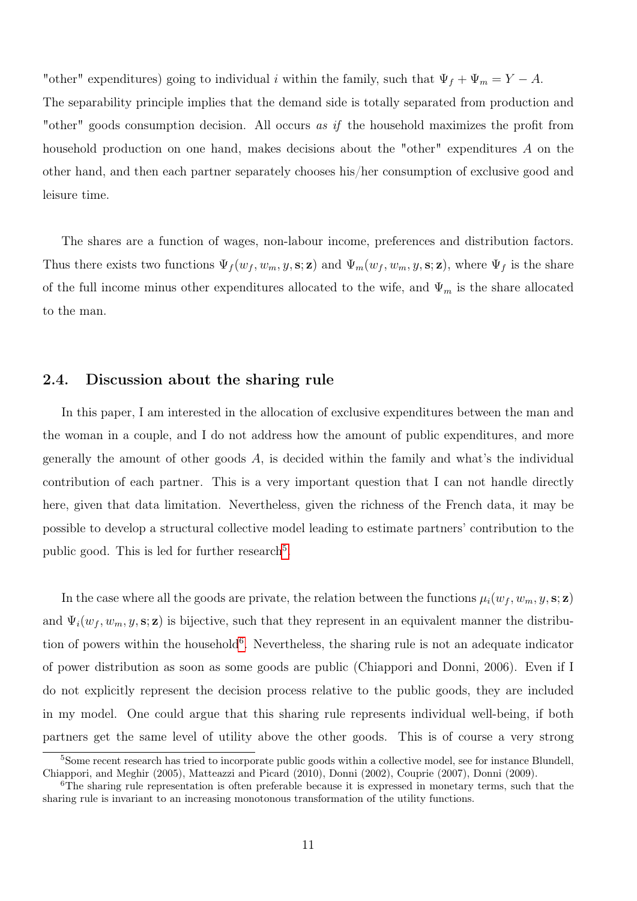"other" expenditures) going to individual i within the family, such that  $\Psi_f + \Psi_m = Y - A$ .

The separability principle implies that the demand side is totally separated from production and "other" goods consumption decision. All occurs as if the household maximizes the profit from household production on one hand, makes decisions about the "other" expenditures A on the other hand, and then each partner separately chooses his/her consumption of exclusive good and leisure time.

The shares are a function of wages, non-labour income, preferences and distribution factors. Thus there exists two functions  $\Psi_f(w_f, w_m, y, \mathbf{s}; \mathbf{z})$  and  $\Psi_m(w_f, w_m, y, \mathbf{s}; \mathbf{z})$ , where  $\Psi_f$  is the share of the full income minus other expenditures allocated to the wife, and  $\Psi_m$  is the share allocated to the man.

### 2.4. Discussion about the sharing rule

In this paper, I am interested in the allocation of exclusive expenditures between the man and the woman in a couple, and I do not address how the amount of public expenditures, and more generally the amount of other goods  $A$ , is decided within the family and what's the individual contribution of each partner. This is a very important question that I can not handle directly here, given that data limitation. Nevertheless, given the richness of the French data, it may be possible to develop a structural collective model leading to estimate partners' contribution to the public good. This is led for further research<sup>[5](#page-0-0)</sup>.

In the case where all the goods are private, the relation between the functions  $\mu_i(w_f, w_m, y, \mathbf{s}; \mathbf{z})$ and  $\Psi_i(w_f, w_m, y, s; \mathbf{z})$  is bijective, such that they represent in an equivalent manner the distribu-tion of powers within the household<sup>[6](#page-0-0)</sup>. Nevertheless, the sharing rule is not an adequate indicator of power distribution as soon as some goods are public (Chiappori and Donni, 2006). Even if I do not explicitly represent the decision process relative to the public goods, they are included in my model. One could argue that this sharing rule represents individual well-being, if both partners get the same level of utility above the other goods. This is of course a very strong

<sup>&</sup>lt;sup>5</sup>Some recent research has tried to incorporate public goods within a collective model, see for instance Blundell, Chiappori, and Meghir (2005), Matteazzi and Picard (2010), Donni (2002), Couprie (2007), Donni (2009).

<sup>6</sup>The sharing rule representation is often preferable because it is expressed in monetary terms, such that the sharing rule is invariant to an increasing monotonous transformation of the utility functions.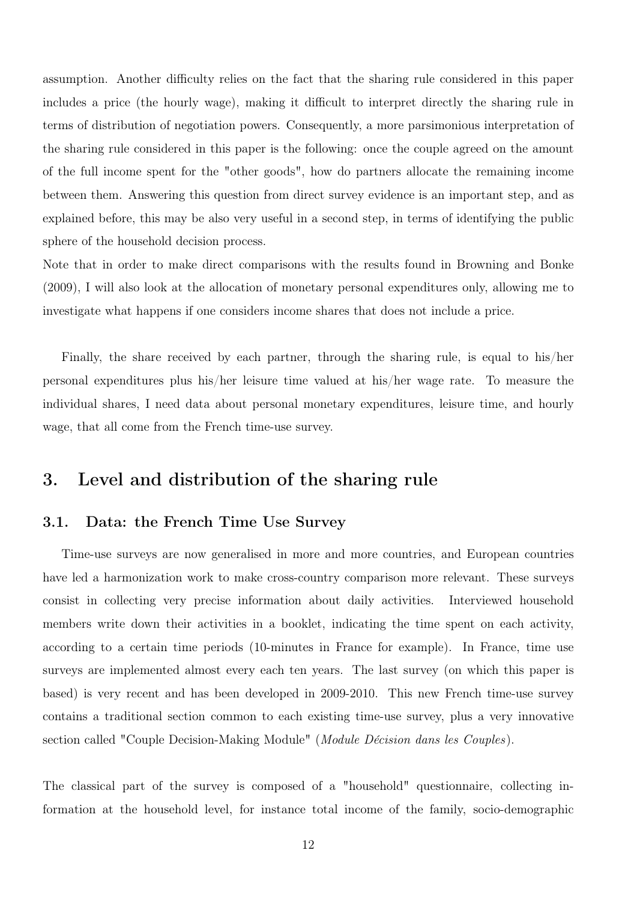assumption. Another difficulty relies on the fact that the sharing rule considered in this paper includes a price (the hourly wage), making it difficult to interpret directly the sharing rule in terms of distribution of negotiation powers. Consequently, a more parsimonious interpretation of the sharing rule considered in this paper is the following: once the couple agreed on the amount of the full income spent for the "other goods", how do partners allocate the remaining income between them. Answering this question from direct survey evidence is an important step, and as explained before, this may be also very useful in a second step, in terms of identifying the public sphere of the household decision process.

Note that in order to make direct comparisons with the results found in Browning and Bonke (2009), I will also look at the allocation of monetary personal expenditures only, allowing me to investigate what happens if one considers income shares that does not include a price.

Finally, the share received by each partner, through the sharing rule, is equal to his/her personal expenditures plus his/her leisure time valued at his/her wage rate. To measure the individual shares, I need data about personal monetary expenditures, leisure time, and hourly wage, that all come from the French time-use survey.

# 3. Level and distribution of the sharing rule

### 3.1. Data: the French Time Use Survey

Time-use surveys are now generalised in more and more countries, and European countries have led a harmonization work to make cross-country comparison more relevant. These surveys consist in collecting very precise information about daily activities. Interviewed household members write down their activities in a booklet, indicating the time spent on each activity, according to a certain time periods (10-minutes in France for example). In France, time use surveys are implemented almost every each ten years. The last survey (on which this paper is based) is very recent and has been developed in 2009-2010. This new French time-use survey contains a traditional section common to each existing time-use survey, plus a very innovative section called "Couple Decision-Making Module" (*Module Décision dans les Couples*).

The classical part of the survey is composed of a "household" questionnaire, collecting information at the household level, for instance total income of the family, socio-demographic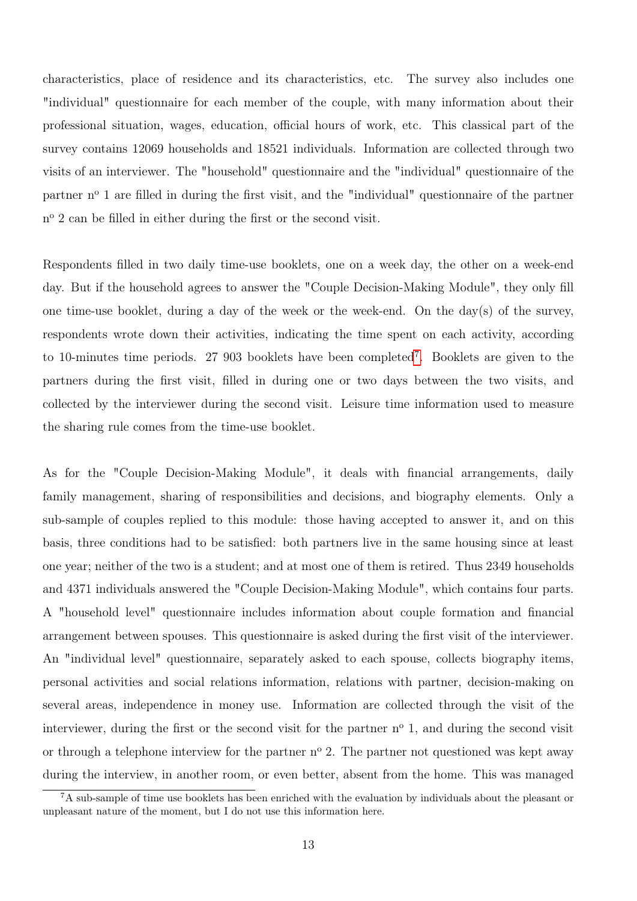characteristics, place of residence and its characteristics, etc. The survey also includes one "individual" questionnaire for each member of the couple, with many information about their professional situation, wages, education, official hours of work, etc. This classical part of the survey contains 12069 households and 18521 individuals. Information are collected through two visits of an interviewer. The "household" questionnaire and the "individual" questionnaire of the partner n<sup>o</sup> 1 are filled in during the first visit, and the "individual" questionnaire of the partner n<sup>o</sup> 2 can be filled in either during the first or the second visit.

Respondents filled in two daily time-use booklets, one on a week day, the other on a week-end day. But if the household agrees to answer the "Couple Decision-Making Module", they only fill one time-use booklet, during a day of the week or the week-end. On the day(s) of the survey, respondents wrote down their activities, indicating the time spent on each activity, according to 10-minutes time periods. 27 903 booklets have been completed[7](#page-0-0) . Booklets are given to the partners during the first visit, filled in during one or two days between the two visits, and collected by the interviewer during the second visit. Leisure time information used to measure the sharing rule comes from the time-use booklet.

As for the "Couple Decision-Making Module", it deals with financial arrangements, daily family management, sharing of responsibilities and decisions, and biography elements. Only a sub-sample of couples replied to this module: those having accepted to answer it, and on this basis, three conditions had to be satisfied: both partners live in the same housing since at least one year; neither of the two is a student; and at most one of them is retired. Thus 2349 households and 4371 individuals answered the "Couple Decision-Making Module", which contains four parts. A "household level" questionnaire includes information about couple formation and financial arrangement between spouses. This questionnaire is asked during the first visit of the interviewer. An "individual level" questionnaire, separately asked to each spouse, collects biography items, personal activities and social relations information, relations with partner, decision-making on several areas, independence in money use. Information are collected through the visit of the interviewer, during the first or the second visit for the partner  $n^{\circ}$  1, and during the second visit or through a telephone interview for the partner  $n^{\circ}$  2. The partner not questioned was kept away during the interview, in another room, or even better, absent from the home. This was managed

<sup>&</sup>lt;sup>7</sup>A sub-sample of time use booklets has been enriched with the evaluation by individuals about the pleasant or unpleasant nature of the moment, but I do not use this information here.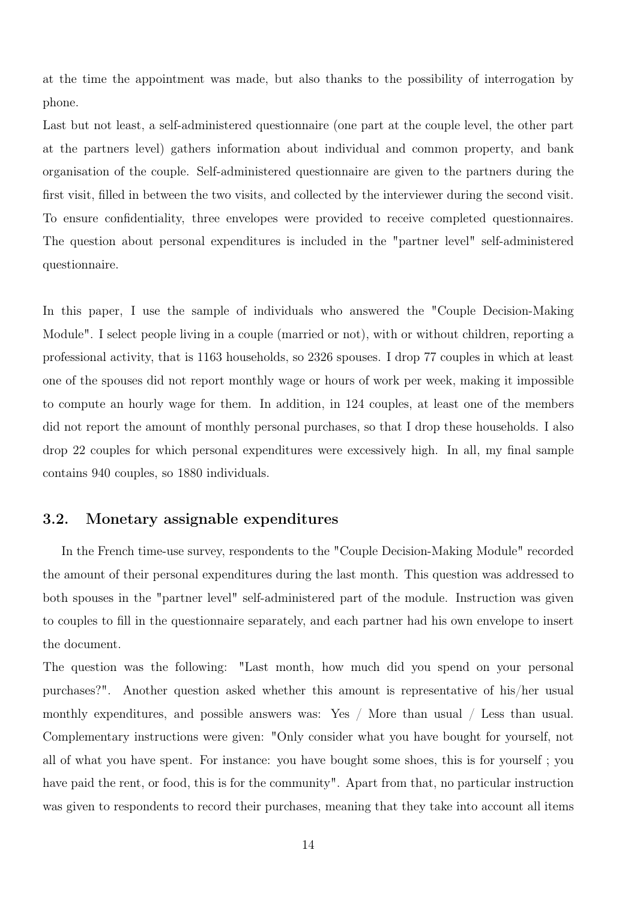at the time the appointment was made, but also thanks to the possibility of interrogation by phone.

Last but not least, a self-administered questionnaire (one part at the couple level, the other part at the partners level) gathers information about individual and common property, and bank organisation of the couple. Self-administered questionnaire are given to the partners during the first visit, filled in between the two visits, and collected by the interviewer during the second visit. To ensure confidentiality, three envelopes were provided to receive completed questionnaires. The question about personal expenditures is included in the "partner level" self-administered questionnaire.

In this paper, I use the sample of individuals who answered the "Couple Decision-Making Module". I select people living in a couple (married or not), with or without children, reporting a professional activity, that is 1163 households, so 2326 spouses. I drop 77 couples in which at least one of the spouses did not report monthly wage or hours of work per week, making it impossible to compute an hourly wage for them. In addition, in 124 couples, at least one of the members did not report the amount of monthly personal purchases, so that I drop these households. I also drop 22 couples for which personal expenditures were excessively high. In all, my final sample contains 940 couples, so 1880 individuals.

### 3.2. Monetary assignable expenditures

In the French time-use survey, respondents to the "Couple Decision-Making Module" recorded the amount of their personal expenditures during the last month. This question was addressed to both spouses in the "partner level" self-administered part of the module. Instruction was given to couples to fill in the questionnaire separately, and each partner had his own envelope to insert the document.

The question was the following: "Last month, how much did you spend on your personal purchases?". Another question asked whether this amount is representative of his/her usual monthly expenditures, and possible answers was: Yes / More than usual / Less than usual. Complementary instructions were given: "Only consider what you have bought for yourself, not all of what you have spent. For instance: you have bought some shoes, this is for yourself ; you have paid the rent, or food, this is for the community". Apart from that, no particular instruction was given to respondents to record their purchases, meaning that they take into account all items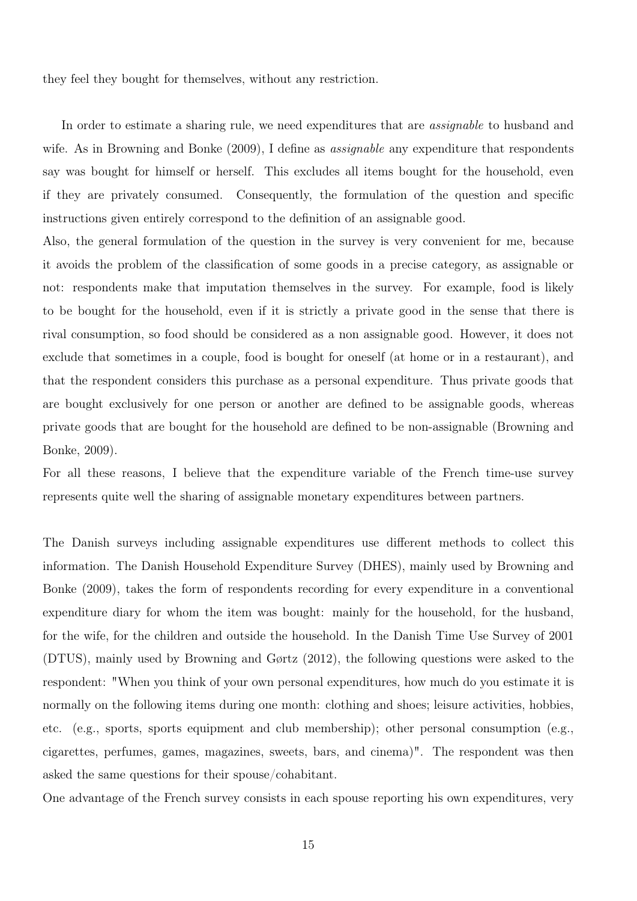they feel they bought for themselves, without any restriction.

In order to estimate a sharing rule, we need expenditures that are *assignable* to husband and wife. As in Browning and Bonke (2009), I define as *assignable* any expenditure that respondents say was bought for himself or herself. This excludes all items bought for the household, even if they are privately consumed. Consequently, the formulation of the question and specific instructions given entirely correspond to the definition of an assignable good.

Also, the general formulation of the question in the survey is very convenient for me, because it avoids the problem of the classification of some goods in a precise category, as assignable or not: respondents make that imputation themselves in the survey. For example, food is likely to be bought for the household, even if it is strictly a private good in the sense that there is rival consumption, so food should be considered as a non assignable good. However, it does not exclude that sometimes in a couple, food is bought for oneself (at home or in a restaurant), and that the respondent considers this purchase as a personal expenditure. Thus private goods that are bought exclusively for one person or another are defined to be assignable goods, whereas private goods that are bought for the household are defined to be non-assignable (Browning and Bonke, 2009).

For all these reasons, I believe that the expenditure variable of the French time-use survey represents quite well the sharing of assignable monetary expenditures between partners.

The Danish surveys including assignable expenditures use different methods to collect this information. The Danish Household Expenditure Survey (DHES), mainly used by Browning and Bonke (2009), takes the form of respondents recording for every expenditure in a conventional expenditure diary for whom the item was bought: mainly for the household, for the husband, for the wife, for the children and outside the household. In the Danish Time Use Survey of 2001 (DTUS), mainly used by Browning and Gørtz (2012), the following questions were asked to the respondent: "When you think of your own personal expenditures, how much do you estimate it is normally on the following items during one month: clothing and shoes; leisure activities, hobbies, etc. (e.g., sports, sports equipment and club membership); other personal consumption (e.g., cigarettes, perfumes, games, magazines, sweets, bars, and cinema)". The respondent was then asked the same questions for their spouse/cohabitant.

One advantage of the French survey consists in each spouse reporting his own expenditures, very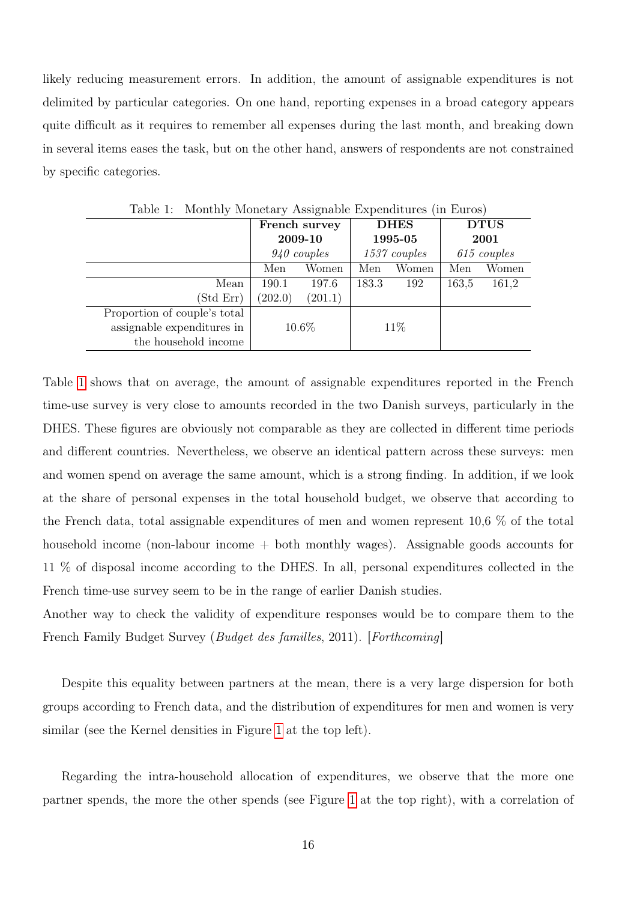likely reducing measurement errors. In addition, the amount of assignable expenditures is not delimited by particular categories. On one hand, reporting expenses in a broad category appears quite difficult as it requires to remember all expenses during the last month, and breaking down in several items eases the task, but on the other hand, answers of respondents are not constrained by specific categories.

|                              | French survey |         | <b>DHES</b>    |       | <b>DTUS</b>   |       |
|------------------------------|---------------|---------|----------------|-------|---------------|-------|
|                              | 2009-10       |         | 1995-05        |       | 2001          |       |
|                              | $940$ couples |         | $1537$ couples |       | $615$ couples |       |
|                              | Women<br>Men  |         | Men            | Women | Men           | Women |
| Mean                         | 190.1         | 197.6   | 183.3          | 192   | 163,5         | 161,2 |
| (Std Err)                    | (202.0)       | (201.1) |                |       |               |       |
| Proportion of couple's total |               |         |                |       |               |       |
| assignable expenditures in   | 10.6%         |         |                | 11\%  |               |       |
| the household income         |               |         |                |       |               |       |

<span id="page-16-0"></span>Table 1: Monthly Monetary Assignable Expenditures (in Euros)

Table [1](#page-16-0) shows that on average, the amount of assignable expenditures reported in the French time-use survey is very close to amounts recorded in the two Danish surveys, particularly in the DHES. These figures are obviously not comparable as they are collected in different time periods and different countries. Nevertheless, we observe an identical pattern across these surveys: men and women spend on average the same amount, which is a strong finding. In addition, if we look at the share of personal expenses in the total household budget, we observe that according to the French data, total assignable expenditures of men and women represent 10,6 % of the total household income (non-labour income  $+$  both monthly wages). Assignable goods accounts for 11 % of disposal income according to the DHES. In all, personal expenditures collected in the French time-use survey seem to be in the range of earlier Danish studies.

Another way to check the validity of expenditure responses would be to compare them to the French Family Budget Survey (Budget des familles, 2011). [Forthcoming]

Despite this equality between partners at the mean, there is a very large dispersion for both groups according to French data, and the distribution of expenditures for men and women is very similar (see the Kernel densities in Figure [1](#page-17-0) at the top left).

Regarding the intra-household allocation of expenditures, we observe that the more one partner spends, the more the other spends (see Figure [1](#page-17-0) at the top right), with a correlation of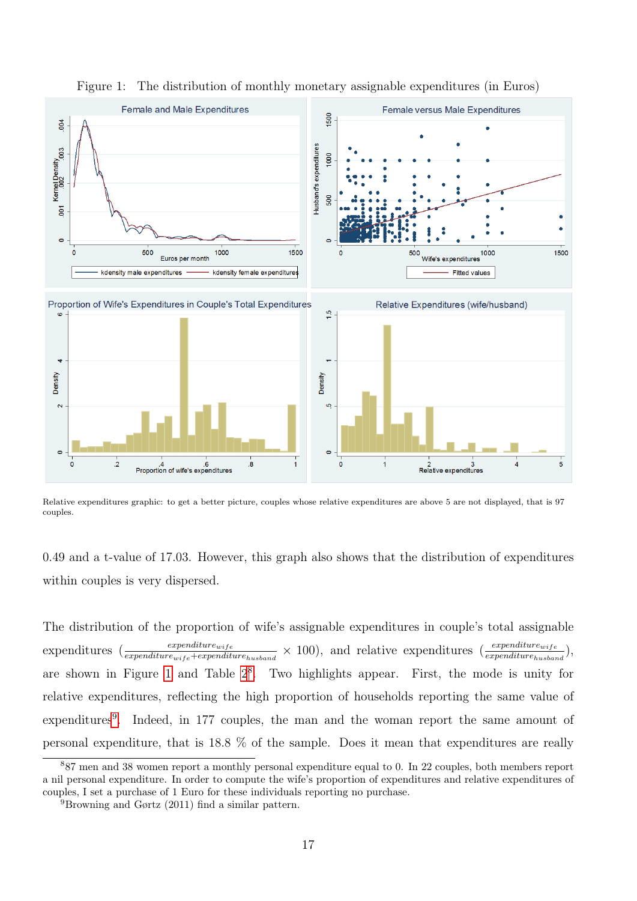

<span id="page-17-0"></span>Figure 1: The distribution of monthly monetary assignable expenditures (in Euros)

Relative expenditures graphic: to get a better picture, couples whose relative expenditures are above 5 are not displayed, that is 97 couples.

0.49 and a t-value of 17.03. However, this graph also shows that the distribution of expenditures within couples is very dispersed.

The distribution of the proportion of wife's assignable expenditures in couple's total assignable expenditures  $(\frac{expenditure_{wife}}{expenditure_{wife}+expenditure_{husband}} \times 100)$ , and relative expenditures  $(\frac{expenditure_{wife}}{expenditure_{husband}})$ are shown in Figure [1](#page-17-0) and Table  $2^8$  $2^8$ . Two highlights appear. First, the mode is unity for relative expenditures, reflecting the high proportion of households reporting the same value of expenditures<sup>[9](#page-0-0)</sup>. Indeed, in 177 couples, the man and the woman report the same amount of personal expenditure, that is 18.8 % of the sample. Does it mean that expenditures are really

<sup>8</sup>87 men and 38 women report a monthly personal expenditure equal to 0. In 22 couples, both members report a nil personal expenditure. In order to compute the wife's proportion of expenditures and relative expenditures of couples, I set a purchase of 1 Euro for these individuals reporting no purchase.

<sup>9</sup>Browning and Gørtz (2011) find a similar pattern.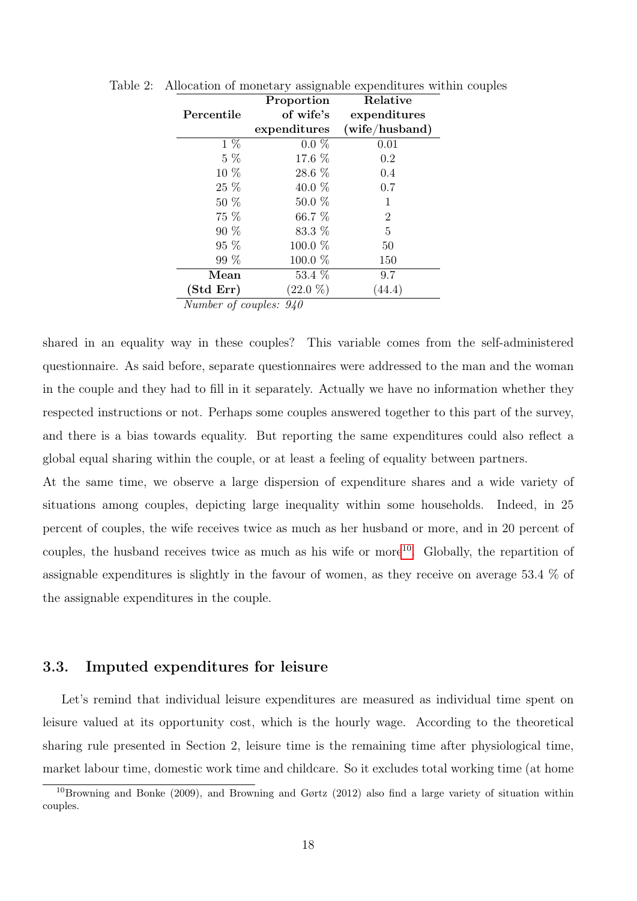<span id="page-18-0"></span>

|                      | Proportion                      | Relative       |
|----------------------|---------------------------------|----------------|
| Percentile           | of wife's                       | expenditures   |
|                      | expenditures                    | (wife/hushand) |
| $1 \, \%$            | $0.0 \%$                        | 0.01           |
| $5\%$                | 17.6 %                          | 0.2            |
| 10 %                 | 28.6 %                          | 0.4            |
| $25\%$               | 40.0 $%$                        | 0.7            |
| $50\%$               | $50.0\%$                        | 1              |
| 75 %                 | 66.7 %                          | $\overline{2}$ |
| $90\%$               | 83.3 %                          | $\overline{5}$ |
| 95 %                 | 100.0 %                         | 50             |
| 99 %                 | 100.0 %                         | 150            |
| Mean                 | 53.4 %                          | 9.7            |
| (Std Err)            | $(22.0\%)$                      | (44.4)         |
| 7L T<br>$\mathbf{r}$ | $\mathbf{r}$<br>0 <sup>10</sup> |                |

Table 2: Allocation of monetary assignable expenditures within couples

Number of couples: 940

shared in an equality way in these couples? This variable comes from the self-administered questionnaire. As said before, separate questionnaires were addressed to the man and the woman in the couple and they had to fill in it separately. Actually we have no information whether they respected instructions or not. Perhaps some couples answered together to this part of the survey, and there is a bias towards equality. But reporting the same expenditures could also reflect a global equal sharing within the couple, or at least a feeling of equality between partners.

At the same time, we observe a large dispersion of expenditure shares and a wide variety of situations among couples, depicting large inequality within some households. Indeed, in 25 percent of couples, the wife receives twice as much as her husband or more, and in 20 percent of couples, the husband receives twice as much as his wife or more<sup>[10](#page-0-0)</sup>. Globally, the repartition of assignable expenditures is slightly in the favour of women, as they receive on average 53.4 % of the assignable expenditures in the couple.

### 3.3. Imputed expenditures for leisure

Let's remind that individual leisure expenditures are measured as individual time spent on leisure valued at its opportunity cost, which is the hourly wage. According to the theoretical sharing rule presented in Section 2, leisure time is the remaining time after physiological time, market labour time, domestic work time and childcare. So it excludes total working time (at home

 $10B$ rowning and Bonke (2009), and Browning and Gørtz (2012) also find a large variety of situation within couples.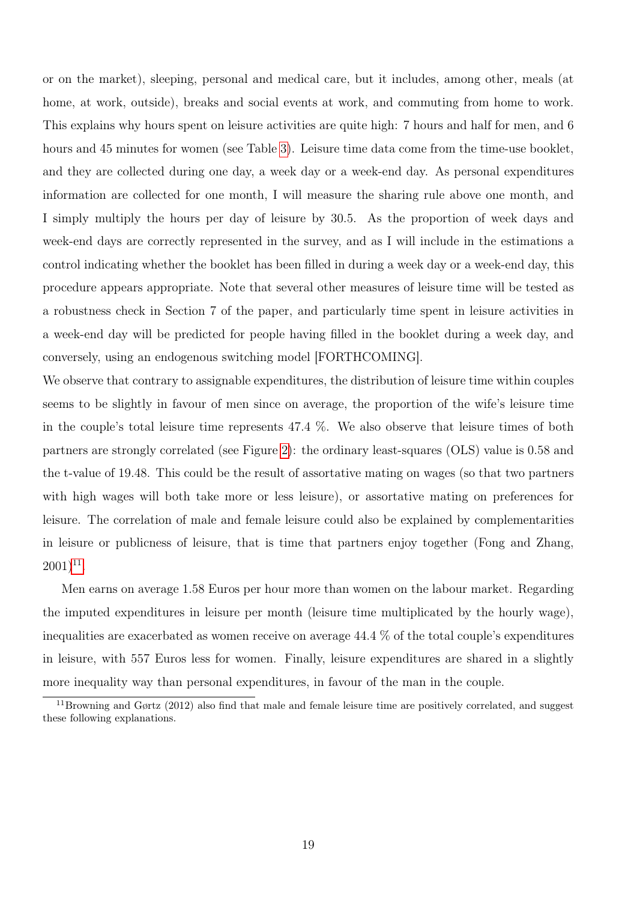or on the market), sleeping, personal and medical care, but it includes, among other, meals (at home, at work, outside), breaks and social events at work, and commuting from home to work. This explains why hours spent on leisure activities are quite high: 7 hours and half for men, and 6 hours and 45 minutes for women (see Table [3\)](#page-20-0). Leisure time data come from the time-use booklet, and they are collected during one day, a week day or a week-end day. As personal expenditures information are collected for one month, I will measure the sharing rule above one month, and I simply multiply the hours per day of leisure by 30.5. As the proportion of week days and week-end days are correctly represented in the survey, and as I will include in the estimations a control indicating whether the booklet has been filled in during a week day or a week-end day, this procedure appears appropriate. Note that several other measures of leisure time will be tested as a robustness check in Section 7 of the paper, and particularly time spent in leisure activities in a week-end day will be predicted for people having filled in the booklet during a week day, and conversely, using an endogenous switching model [FORTHCOMING].

We observe that contrary to assignable expenditures, the distribution of leisure time within couples seems to be slightly in favour of men since on average, the proportion of the wife's leisure time in the couple's total leisure time represents 47.4 %. We also observe that leisure times of both partners are strongly correlated (see Figure [2\)](#page-20-1): the ordinary least-squares (OLS) value is 0.58 and the t-value of 19.48. This could be the result of assortative mating on wages (so that two partners with high wages will both take more or less leisure), or assortative mating on preferences for leisure. The correlation of male and female leisure could also be explained by complementarities in leisure or publicness of leisure, that is time that partners enjoy together (Fong and Zhang,  $(2001)^{11}$  $(2001)^{11}$  $(2001)^{11}$ .

Men earns on average 1.58 Euros per hour more than women on the labour market. Regarding the imputed expenditures in leisure per month (leisure time multiplicated by the hourly wage), inequalities are exacerbated as women receive on average 44.4 % of the total couple's expenditures in leisure, with 557 Euros less for women. Finally, leisure expenditures are shared in a slightly more inequality way than personal expenditures, in favour of the man in the couple.

 $11$ Browning and Gørtz (2012) also find that male and female leisure time are positively correlated, and suggest these following explanations.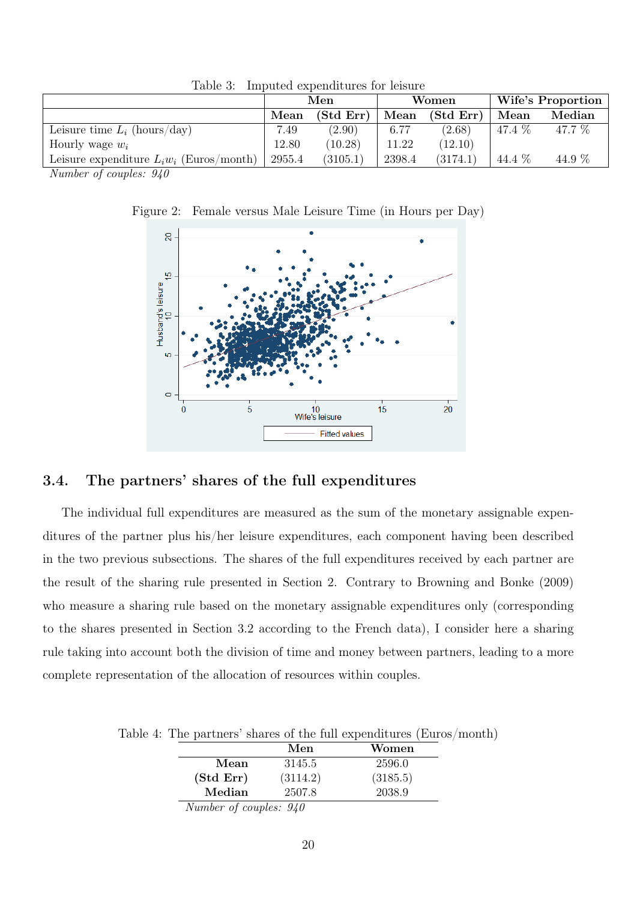|                                             | Men    |           | Women  |           | Wife's Proportion |        |
|---------------------------------------------|--------|-----------|--------|-----------|-------------------|--------|
|                                             | Mean   | (Std Err) | Mean   | (Std Err) | Mean              | Median |
| Leisure time $L_i$ (hours/day)              | 7.49   | (2.90)    | 6.77   | (2.68)    | 47.4 %            | 47.7 % |
| Hourly wage $w_i$                           | 12.80  | (10.28)   | 11.22  | (12.10)   |                   |        |
| Leisure expenditure $L_i w_i$ (Euros/month) | 2955.4 | (3105.1)  | 2398.4 | (3174.1)  | 44.4 %            | 44.9 % |

<span id="page-20-0"></span>Table 3: Imputed expenditures for leisure

Number of couples: 940

Figure 2: Female versus Male Leisure Time (in Hours per Day)

<span id="page-20-1"></span>

## 3.4. The partners' shares of the full expenditures

The individual full expenditures are measured as the sum of the monetary assignable expenditures of the partner plus his/her leisure expenditures, each component having been described in the two previous subsections. The shares of the full expenditures received by each partner are the result of the sharing rule presented in Section 2. Contrary to Browning and Bonke (2009) who measure a sharing rule based on the monetary assignable expenditures only (corresponding to the shares presented in Section 3.2 according to the French data), I consider here a sharing rule taking into account both the division of time and money between partners, leading to a more complete representation of the allocation of resources within couples.

Table 4: The partners' shares of the full expenditures (Euros/month)

<span id="page-20-2"></span>

|                                                                                           | Men      | Women    |
|-------------------------------------------------------------------------------------------|----------|----------|
| Mean                                                                                      | 3145.5   | 2596.0   |
| (Std Err)                                                                                 | (3114.2) | (3185.5) |
| Median                                                                                    | 2507.8   | 2038.9   |
| $\overline{M}$ $\overline{I}$ $\overline{C}$ $\overline{I}$ $\overline{O}$ $\overline{O}$ |          |          |

Number of couples: 940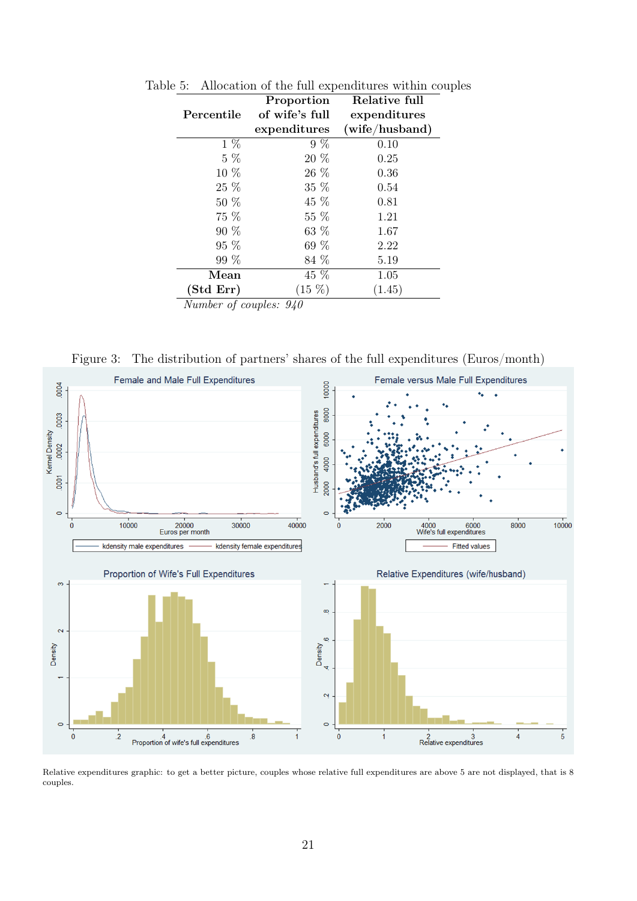<span id="page-21-0"></span>

|                                                                                             | Proportion     | Relative full  |
|---------------------------------------------------------------------------------------------|----------------|----------------|
| Percentile                                                                                  | of wife's full | expenditures   |
|                                                                                             | expenditures   | (wife/hushand) |
| $1\%$                                                                                       | $9\%$          | 0.10           |
| $5\ \%$                                                                                     | 20 %           | 0.25           |
| 10 %                                                                                        | 26 %           | 0.36           |
| 25 %                                                                                        | 35 %           | 0.54           |
| 50 %                                                                                        | 45 %           | 0.81           |
| 75 %                                                                                        | 55 %           | 1.21           |
| 90 %                                                                                        | 63 %           | 1.67           |
| 95 %                                                                                        | $69\%$         | 2.22           |
| 99 %                                                                                        | 84 %           | 5.19           |
| $\operatorname{Mean}$                                                                       | 45 %           | 1.05           |
| (Std Err)                                                                                   | $(15 \%)$      | (1.45)         |
| $M_{\text{max}}$ $l_{\text{max}}$ $l_{\text{max}}$ $l_{\text{max}}$ $l_{\text{max}}$ $0.10$ |                |                |

Table 5: Allocation of the full expenditures within couples

Number of couples: 940

<span id="page-21-1"></span>Figure 3: The distribution of partners' shares of the full expenditures (Euros/month)



Relative expenditures graphic: to get a better picture, couples whose relative full expenditures are above 5 are not displayed, that is 8 couples.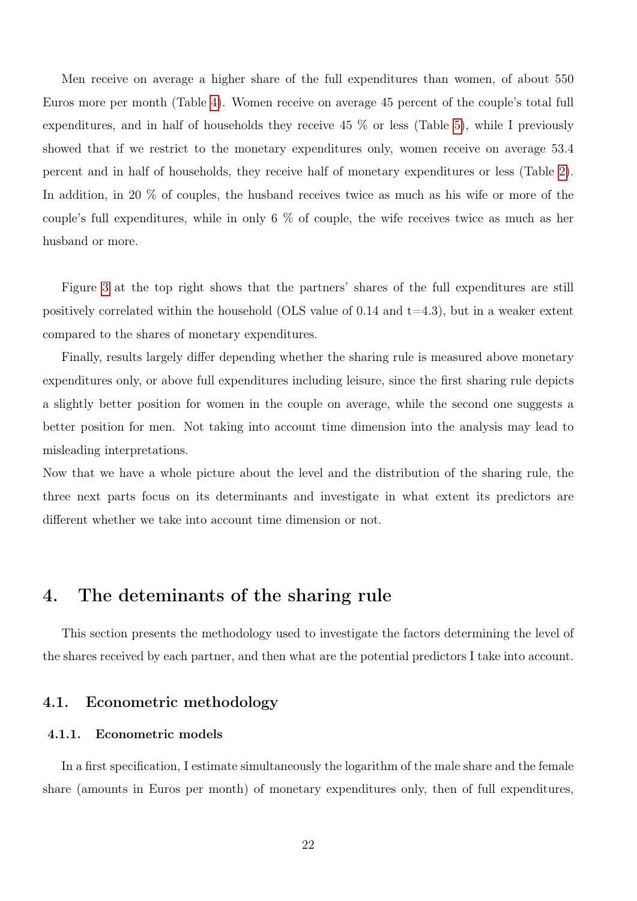Men receive on average a higher share of the full expenditures than women, of about 550 Euros more per month (Table [4\)](#page-20-2). Women receive on average 45 percent of the couple's total full expenditures, and in half of households they receive 45 % or less (Table [5\)](#page-21-0), while I previously showed that if we restrict to the monetary expenditures only, women receive on average 53.4 percent and in half of households, they receive half of monetary expenditures or less (Table [2\)](#page-18-0). In addition, in 20 % of couples, the husband receives twice as much as his wife or more of the couple's full expenditures, while in only 6 % of couple, the wife receives twice as much as her husband or more.

Figure [3](#page-21-1) at the top right shows that the partners' shares of the full expenditures are still positively correlated within the household (OLS value of 0.14 and  $t=4.3$ ), but in a weaker extent compared to the shares of monetary expenditures.

Finally, results largely differ depending whether the sharing rule is measured above monetary expenditures only, or above full expenditures including leisure, since the first sharing rule depicts a slightly better position for women in the couple on average, while the second one suggests a better position for men. Not taking into account time dimension into the analysis may lead to misleading interpretations.

Now that we have a whole picture about the level and the distribution of the sharing rule, the three next parts focus on its determinants and investigate in what extent its predictors are different whether we take into account time dimension or not.

# 4. The deteminants of the sharing rule

This section presents the methodology used to investigate the factors determining the level of the shares received by each partner, and then what are the potential predictors I take into account.

### 4.1. Econometric methodology

#### 4.1.1. Econometric models

In a first specification, I estimate simultaneously the logarithm of the male share and the female share (amounts in Euros per month) of monetary expenditures only, then of full expenditures,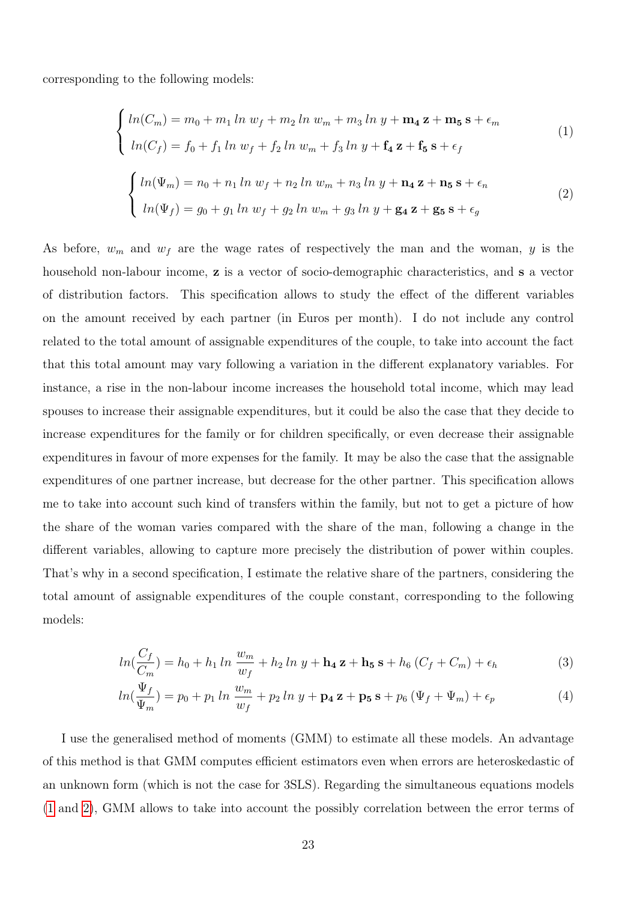<span id="page-23-0"></span>corresponding to the following models:

$$
\begin{cases}\n\ln(C_m) = m_0 + m_1 \ln w_f + m_2 \ln w_m + m_3 \ln y + \mathbf{m_4} \mathbf{z} + \mathbf{m_5} \mathbf{s} + \epsilon_m \\
\ln(C_f) = f_0 + f_1 \ln w_f + f_2 \ln w_m + f_3 \ln y + \mathbf{f_4} \mathbf{z} + \mathbf{f_5} \mathbf{s} + \epsilon_f\n\end{cases}
$$
\n(1)\n
$$
\begin{cases}\n\ln(\Psi_m) = n_0 + n_1 \ln w_f + n_2 \ln w_m + n_3 \ln y + \mathbf{n_4} \mathbf{z} + \mathbf{n_5} \mathbf{s} + \epsilon_n \\
\ln(\Psi_f) = g_0 + g_1 \ln w_f + g_2 \ln w_m + g_3 \ln y + g_4 \mathbf{z} + g_5 \mathbf{s} + \epsilon_g\n\end{cases}
$$
\n(2)

<span id="page-23-1"></span>As before,  $w_m$  and  $w_f$  are the wage rates of respectively the man and the woman, y is the household non-labour income, **z** is a vector of socio-demographic characteristics, and **s** a vector of distribution factors. This specification allows to study the effect of the different variables on the amount received by each partner (in Euros per month). I do not include any control related to the total amount of assignable expenditures of the couple, to take into account the fact that this total amount may vary following a variation in the different explanatory variables. For instance, a rise in the non-labour income increases the household total income, which may lead spouses to increase their assignable expenditures, but it could be also the case that they decide to increase expenditures for the family or for children specifically, or even decrease their assignable expenditures in favour of more expenses for the family. It may be also the case that the assignable expenditures of one partner increase, but decrease for the other partner. This specification allows me to take into account such kind of transfers within the family, but not to get a picture of how the share of the woman varies compared with the share of the man, following a change in the different variables, allowing to capture more precisely the distribution of power within couples. That's why in a second specification, I estimate the relative share of the partners, considering the total amount of assignable expenditures of the couple constant, corresponding to the following models:

<span id="page-23-2"></span>
$$
ln(\frac{C_f}{C_m}) = h_0 + h_1 \ln \frac{w_m}{w_f} + h_2 \ln y + \mathbf{h_4} \mathbf{z} + \mathbf{h_5} \mathbf{s} + h_6 \left( C_f + C_m \right) + \epsilon_h \tag{3}
$$

$$
ln(\frac{\Psi_f}{\Psi_m}) = p_0 + p_1 \ln \frac{w_m}{w_f} + p_2 \ln y + \mathbf{p_4} \mathbf{z} + \mathbf{p_5} \mathbf{s} + p_6 (\Psi_f + \Psi_m) + \epsilon_p
$$
 (4)

I use the generalised method of moments (GMM) to estimate all these models. An advantage of this method is that GMM computes efficient estimators even when errors are heteroskedastic of an unknown form (which is not the case for 3SLS). Regarding the simultaneous equations models [\(1](#page-23-0) and [2\)](#page-23-1), GMM allows to take into account the possibly correlation between the error terms of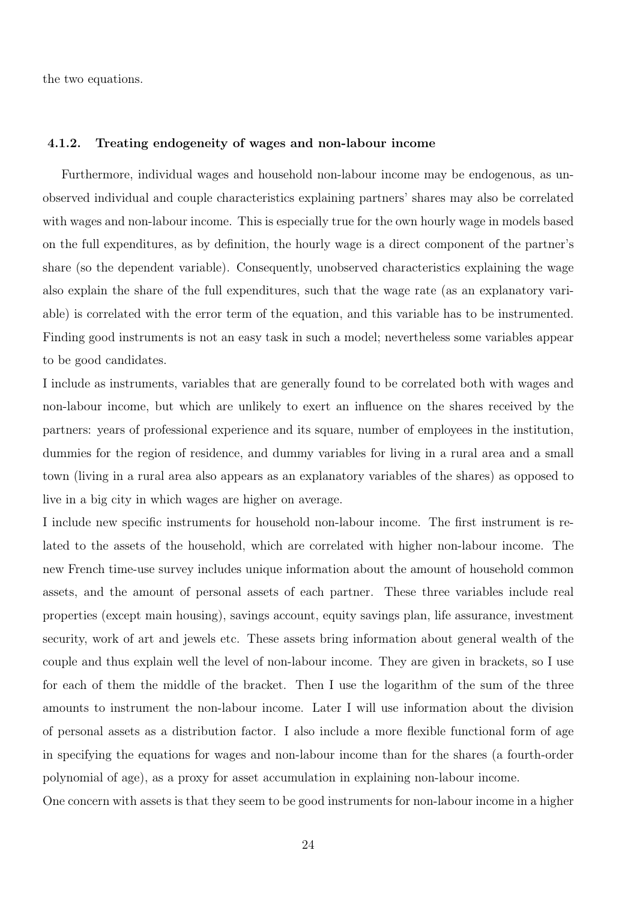the two equations.

#### 4.1.2. Treating endogeneity of wages and non-labour income

Furthermore, individual wages and household non-labour income may be endogenous, as unobserved individual and couple characteristics explaining partners' shares may also be correlated with wages and non-labour income. This is especially true for the own hourly wage in models based on the full expenditures, as by definition, the hourly wage is a direct component of the partner's share (so the dependent variable). Consequently, unobserved characteristics explaining the wage also explain the share of the full expenditures, such that the wage rate (as an explanatory variable) is correlated with the error term of the equation, and this variable has to be instrumented. Finding good instruments is not an easy task in such a model; nevertheless some variables appear to be good candidates.

I include as instruments, variables that are generally found to be correlated both with wages and non-labour income, but which are unlikely to exert an influence on the shares received by the partners: years of professional experience and its square, number of employees in the institution, dummies for the region of residence, and dummy variables for living in a rural area and a small town (living in a rural area also appears as an explanatory variables of the shares) as opposed to live in a big city in which wages are higher on average.

I include new specific instruments for household non-labour income. The first instrument is related to the assets of the household, which are correlated with higher non-labour income. The new French time-use survey includes unique information about the amount of household common assets, and the amount of personal assets of each partner. These three variables include real properties (except main housing), savings account, equity savings plan, life assurance, investment security, work of art and jewels etc. These assets bring information about general wealth of the couple and thus explain well the level of non-labour income. They are given in brackets, so I use for each of them the middle of the bracket. Then I use the logarithm of the sum of the three amounts to instrument the non-labour income. Later I will use information about the division of personal assets as a distribution factor. I also include a more flexible functional form of age in specifying the equations for wages and non-labour income than for the shares (a fourth-order polynomial of age), as a proxy for asset accumulation in explaining non-labour income.

One concern with assets is that they seem to be good instruments for non-labour income in a higher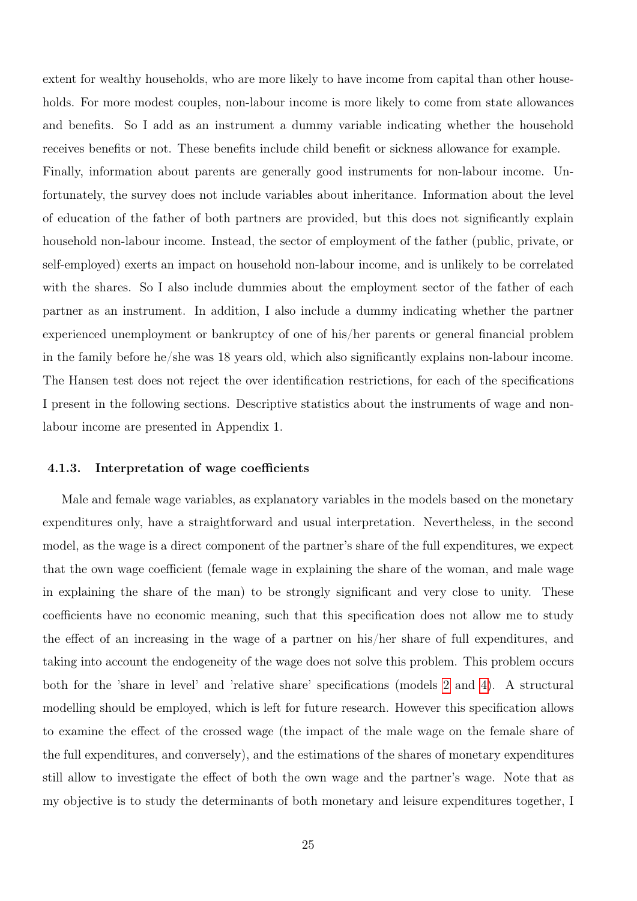extent for wealthy households, who are more likely to have income from capital than other households. For more modest couples, non-labour income is more likely to come from state allowances and benefits. So I add as an instrument a dummy variable indicating whether the household receives benefits or not. These benefits include child benefit or sickness allowance for example. Finally, information about parents are generally good instruments for non-labour income. Unfortunately, the survey does not include variables about inheritance. Information about the level of education of the father of both partners are provided, but this does not significantly explain household non-labour income. Instead, the sector of employment of the father (public, private, or self-employed) exerts an impact on household non-labour income, and is unlikely to be correlated with the shares. So I also include dummies about the employment sector of the father of each partner as an instrument. In addition, I also include a dummy indicating whether the partner experienced unemployment or bankruptcy of one of his/her parents or general financial problem in the family before he/she was 18 years old, which also significantly explains non-labour income. The Hansen test does not reject the over identification restrictions, for each of the specifications I present in the following sections. Descriptive statistics about the instruments of wage and nonlabour income are presented in Appendix 1.

#### 4.1.3. Interpretation of wage coefficients

Male and female wage variables, as explanatory variables in the models based on the monetary expenditures only, have a straightforward and usual interpretation. Nevertheless, in the second model, as the wage is a direct component of the partner's share of the full expenditures, we expect that the own wage coefficient (female wage in explaining the share of the woman, and male wage in explaining the share of the man) to be strongly significant and very close to unity. These coefficients have no economic meaning, such that this specification does not allow me to study the effect of an increasing in the wage of a partner on his/her share of full expenditures, and taking into account the endogeneity of the wage does not solve this problem. This problem occurs both for the 'share in level' and 'relative share' specifications (models [2](#page-23-1) and [4\)](#page-23-2). A structural modelling should be employed, which is left for future research. However this specification allows to examine the effect of the crossed wage (the impact of the male wage on the female share of the full expenditures, and conversely), and the estimations of the shares of monetary expenditures still allow to investigate the effect of both the own wage and the partner's wage. Note that as my objective is to study the determinants of both monetary and leisure expenditures together, I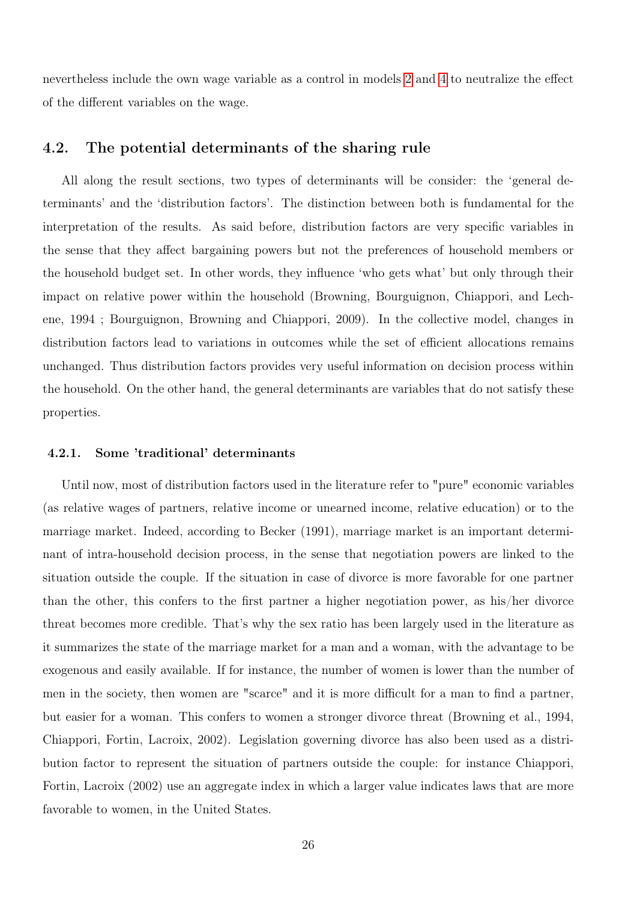nevertheless include the own wage variable as a control in models [2](#page-23-1) and [4](#page-23-2) to neutralize the effect of the different variables on the wage.

### 4.2. The potential determinants of the sharing rule

All along the result sections, two types of determinants will be consider: the 'general determinants' and the 'distribution factors'. The distinction between both is fundamental for the interpretation of the results. As said before, distribution factors are very specific variables in the sense that they affect bargaining powers but not the preferences of household members or the household budget set. In other words, they influence 'who gets what' but only through their impact on relative power within the household (Browning, Bourguignon, Chiappori, and Lechene, 1994 ; Bourguignon, Browning and Chiappori, 2009). In the collective model, changes in distribution factors lead to variations in outcomes while the set of efficient allocations remains unchanged. Thus distribution factors provides very useful information on decision process within the household. On the other hand, the general determinants are variables that do not satisfy these properties.

#### 4.2.1. Some 'traditional' determinants

Until now, most of distribution factors used in the literature refer to "pure" economic variables (as relative wages of partners, relative income or unearned income, relative education) or to the marriage market. Indeed, according to Becker (1991), marriage market is an important determinant of intra-household decision process, in the sense that negotiation powers are linked to the situation outside the couple. If the situation in case of divorce is more favorable for one partner than the other, this confers to the first partner a higher negotiation power, as his/her divorce threat becomes more credible. That's why the sex ratio has been largely used in the literature as it summarizes the state of the marriage market for a man and a woman, with the advantage to be exogenous and easily available. If for instance, the number of women is lower than the number of men in the society, then women are "scarce" and it is more difficult for a man to find a partner, but easier for a woman. This confers to women a stronger divorce threat (Browning et al., 1994, Chiappori, Fortin, Lacroix, 2002). Legislation governing divorce has also been used as a distribution factor to represent the situation of partners outside the couple: for instance Chiappori, Fortin, Lacroix (2002) use an aggregate index in which a larger value indicates laws that are more favorable to women, in the United States.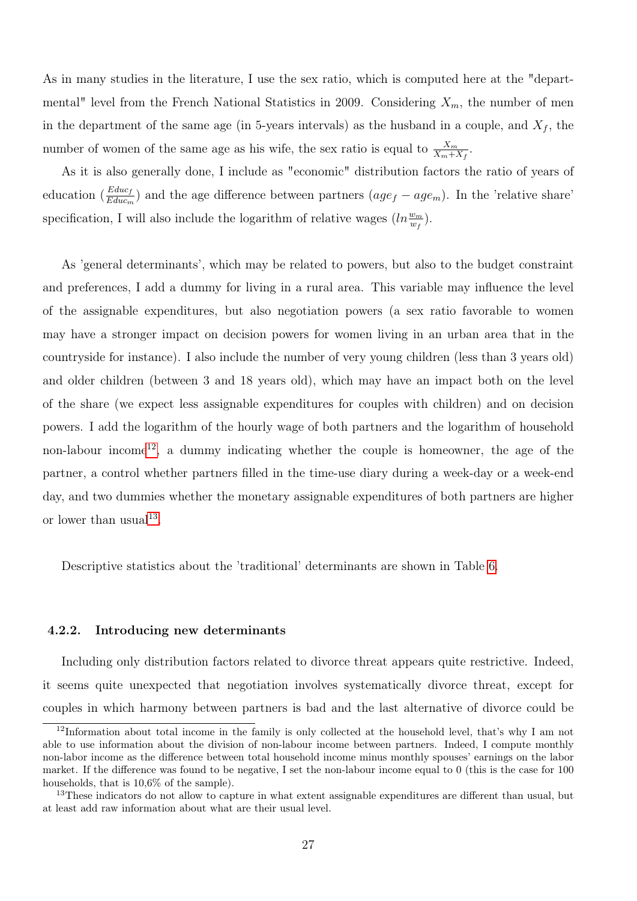As in many studies in the literature, I use the sex ratio, which is computed here at the "departmental" level from the French National Statistics in 2009. Considering  $X_m$ , the number of men in the department of the same age (in 5-years intervals) as the husband in a couple, and  $X_f$ , the number of women of the same age as his wife, the sex ratio is equal to  $\frac{X_m}{X_m+X_f}$ .

As it is also generally done, I include as "economic" distribution factors the ratio of years of education  $(\frac{Educ_f}{Educ_m})$  and the age difference between partners  $(age_f - age_m)$ . In the 'relative share' specification, I will also include the logarithm of relative wages  $(ln\frac{w_m}{w_f}).$ 

As 'general determinants', which may be related to powers, but also to the budget constraint and preferences, I add a dummy for living in a rural area. This variable may influence the level of the assignable expenditures, but also negotiation powers (a sex ratio favorable to women may have a stronger impact on decision powers for women living in an urban area that in the countryside for instance). I also include the number of very young children (less than 3 years old) and older children (between 3 and 18 years old), which may have an impact both on the level of the share (we expect less assignable expenditures for couples with children) and on decision powers. I add the logarithm of the hourly wage of both partners and the logarithm of household non-labour income<sup>[12](#page-0-0)</sup>, a dummy indicating whether the couple is homeowner, the age of the partner, a control whether partners filled in the time-use diary during a week-day or a week-end day, and two dummies whether the monetary assignable expenditures of both partners are higher or lower than usual<sup>[13](#page-0-0)</sup>.

Descriptive statistics about the 'traditional' determinants are shown in Table [6.](#page-28-0)

#### 4.2.2. Introducing new determinants

Including only distribution factors related to divorce threat appears quite restrictive. Indeed, it seems quite unexpected that negotiation involves systematically divorce threat, except for couples in which harmony between partners is bad and the last alternative of divorce could be

 $12$ Information about total income in the family is only collected at the household level, that's why I am not able to use information about the division of non-labour income between partners. Indeed, I compute monthly non-labor income as the difference between total household income minus monthly spouses' earnings on the labor market. If the difference was found to be negative, I set the non-labour income equal to 0 (this is the case for 100 households, that is 10,6% of the sample).

<sup>&</sup>lt;sup>13</sup>These indicators do not allow to capture in what extent assignable expenditures are different than usual, but at least add raw information about what are their usual level.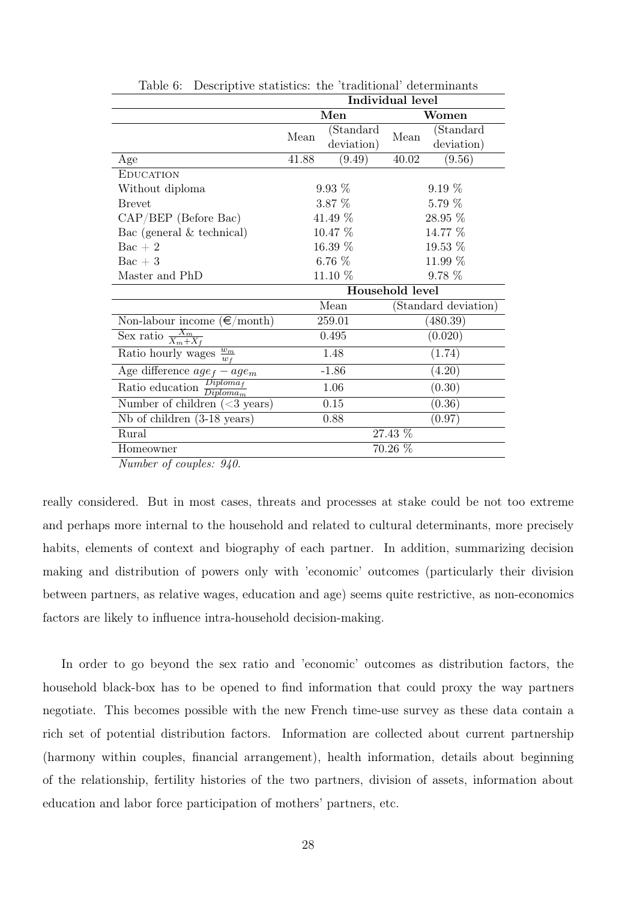|                                               | Individual level |            |                 |                      |
|-----------------------------------------------|------------------|------------|-----------------|----------------------|
|                                               |                  | Men        |                 | Women                |
|                                               | Mean             | (Standard  |                 | (Standard            |
|                                               |                  | deviation) | Mean            | deviation)           |
| Age                                           | 41.88            | (9.49)     | 40.02           | (9.56)               |
| <b>EDUCATION</b>                              |                  |            |                 |                      |
| Without diploma                               |                  | $9.93\%$   |                 | $9.19\%$             |
| <b>Brevet</b>                                 |                  | $3.87\%$   |                 | $5.79\%$             |
| $CAP/BEP$ (Before Bac)                        |                  | 41.49 %    |                 | 28.95 %              |
| Bac (general $&$ technical)                   |                  | 10.47 %    |                 | 14.77 %              |
| $\text{Bac} + 2$                              | 16.39 %          |            |                 | 19.53 %              |
| $Bac + 3$                                     |                  | $6.76\%$   |                 | 11.99 %              |
| Master and PhD                                |                  | 11.10 %    |                 | $9.78\%$             |
|                                               |                  |            | Household level |                      |
|                                               |                  | Mean       |                 | (Standard deviation) |
| Non-labour income $(\epsilon/\text{month})$   |                  | 259.01     | (480.39)        |                      |
| Sex ratio $\frac{X_m}{X_m+X_f}$               |                  | 0.495      | (0.020)         |                      |
| $w_m$<br>Ratio hourly wages<br>$w_f$          |                  | 1.48       | (1.74)          |                      |
| Age difference $age_f - age_m$                |                  | $-1.86$    |                 | (4.20)               |
| Ratio education $\frac{Diploma_f}{Diploma_m}$ |                  | 1.06       |                 | (0.30)               |
| Number of children $(3 years)$                |                  | 0.15       |                 | (0.36)               |
| $Nb$ of children $(3-18 \text{ years})$       |                  | 0.88       | (0.97)          |                      |
| Rural                                         |                  |            | 27.43 %         |                      |
| Homeowner                                     | 70.26 %          |            |                 |                      |

<span id="page-28-0"></span>Table 6: Descriptive statistics: the 'traditional' determinants

Number of couples: 940.

really considered. But in most cases, threats and processes at stake could be not too extreme and perhaps more internal to the household and related to cultural determinants, more precisely habits, elements of context and biography of each partner. In addition, summarizing decision making and distribution of powers only with 'economic' outcomes (particularly their division between partners, as relative wages, education and age) seems quite restrictive, as non-economics factors are likely to influence intra-household decision-making.

In order to go beyond the sex ratio and 'economic' outcomes as distribution factors, the household black-box has to be opened to find information that could proxy the way partners negotiate. This becomes possible with the new French time-use survey as these data contain a rich set of potential distribution factors. Information are collected about current partnership (harmony within couples, financial arrangement), health information, details about beginning of the relationship, fertility histories of the two partners, division of assets, information about education and labor force participation of mothers' partners, etc.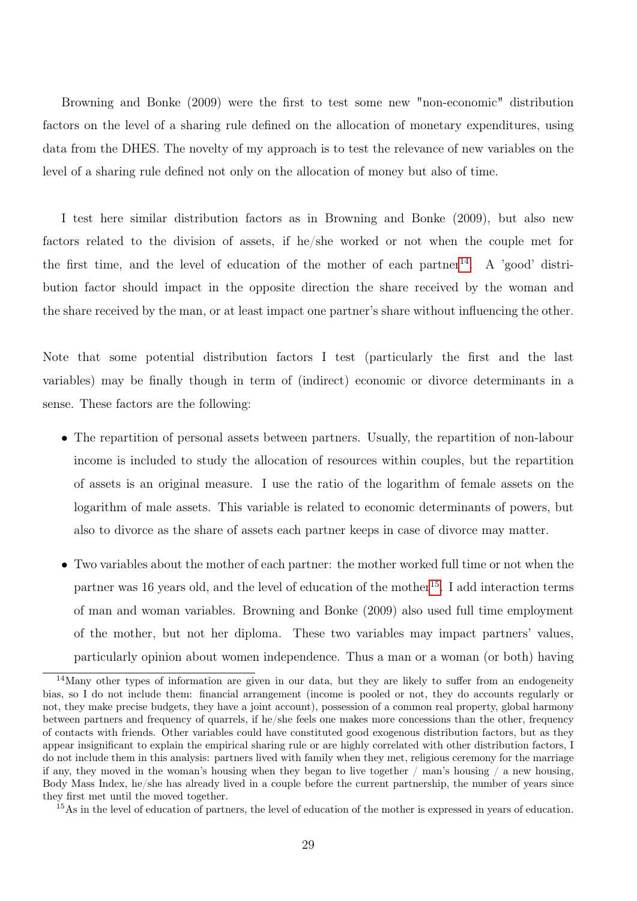Browning and Bonke (2009) were the first to test some new "non-economic" distribution factors on the level of a sharing rule defined on the allocation of monetary expenditures, using data from the DHES. The novelty of my approach is to test the relevance of new variables on the level of a sharing rule defined not only on the allocation of money but also of time.

I test here similar distribution factors as in Browning and Bonke (2009), but also new factors related to the division of assets, if he/she worked or not when the couple met for the first time, and the level of education of the mother of each partner<sup>[14](#page-0-0)</sup>. A 'good' distribution factor should impact in the opposite direction the share received by the woman and the share received by the man, or at least impact one partner's share without influencing the other.

Note that some potential distribution factors I test (particularly the first and the last variables) may be finally though in term of (indirect) economic or divorce determinants in a sense. These factors are the following:

- The repartition of personal assets between partners. Usually, the repartition of non-labour income is included to study the allocation of resources within couples, but the repartition of assets is an original measure. I use the ratio of the logarithm of female assets on the logarithm of male assets. This variable is related to economic determinants of powers, but also to divorce as the share of assets each partner keeps in case of divorce may matter.
- Two variables about the mother of each partner: the mother worked full time or not when the partner was 16 years old, and the level of education of the mother<sup>[15](#page-0-0)</sup>. I add interaction terms of man and woman variables. Browning and Bonke (2009) also used full time employment of the mother, but not her diploma. These two variables may impact partners' values, particularly opinion about women independence. Thus a man or a woman (or both) having

 $14$ Many other types of information are given in our data, but they are likely to suffer from an endogeneity bias, so I do not include them: financial arrangement (income is pooled or not, they do accounts regularly or not, they make precise budgets, they have a joint account), possession of a common real property, global harmony between partners and frequency of quarrels, if he/she feels one makes more concessions than the other, frequency of contacts with friends. Other variables could have constituted good exogenous distribution factors, but as they appear insignificant to explain the empirical sharing rule or are highly correlated with other distribution factors, I do not include them in this analysis: partners lived with family when they met, religious ceremony for the marriage if any, they moved in the woman's housing when they began to live together  $/$  man's housing  $/$  a new housing, Body Mass Index, he/she has already lived in a couple before the current partnership, the number of years since they first met until the moved together.

<sup>&</sup>lt;sup>15</sup>As in the level of education of partners, the level of education of the mother is expressed in years of education.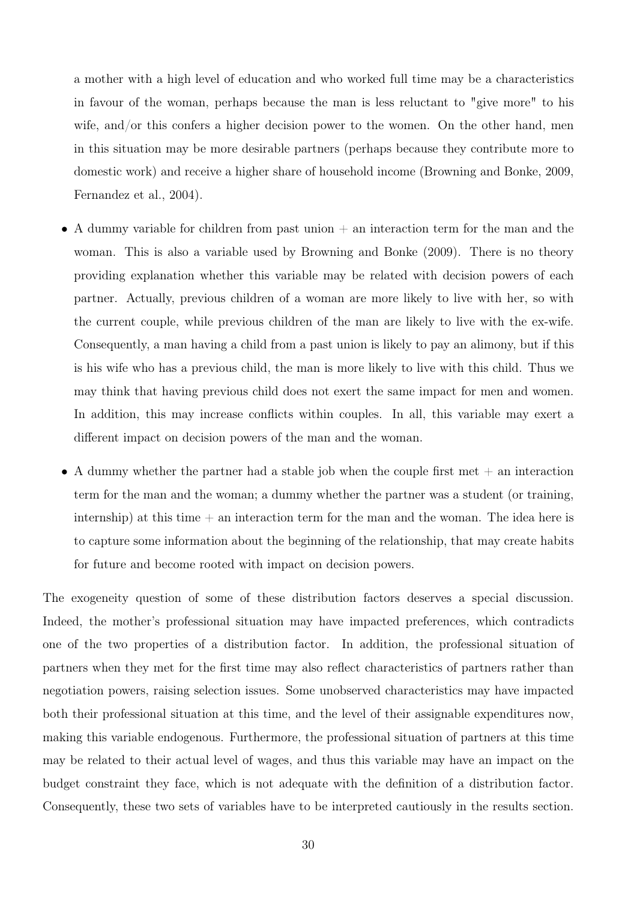a mother with a high level of education and who worked full time may be a characteristics in favour of the woman, perhaps because the man is less reluctant to "give more" to his wife, and/or this confers a higher decision power to the women. On the other hand, men in this situation may be more desirable partners (perhaps because they contribute more to domestic work) and receive a higher share of household income (Browning and Bonke, 2009, Fernandez et al., 2004).

- A dummy variable for children from past union  $+$  an interaction term for the man and the woman. This is also a variable used by Browning and Bonke (2009). There is no theory providing explanation whether this variable may be related with decision powers of each partner. Actually, previous children of a woman are more likely to live with her, so with the current couple, while previous children of the man are likely to live with the ex-wife. Consequently, a man having a child from a past union is likely to pay an alimony, but if this is his wife who has a previous child, the man is more likely to live with this child. Thus we may think that having previous child does not exert the same impact for men and women. In addition, this may increase conflicts within couples. In all, this variable may exert a different impact on decision powers of the man and the woman.
- A dummy whether the partner had a stable job when the couple first met  $+$  an interaction term for the man and the woman; a dummy whether the partner was a student (or training, internship) at this time  $+$  an interaction term for the man and the woman. The idea here is to capture some information about the beginning of the relationship, that may create habits for future and become rooted with impact on decision powers.

The exogeneity question of some of these distribution factors deserves a special discussion. Indeed, the mother's professional situation may have impacted preferences, which contradicts one of the two properties of a distribution factor. In addition, the professional situation of partners when they met for the first time may also reflect characteristics of partners rather than negotiation powers, raising selection issues. Some unobserved characteristics may have impacted both their professional situation at this time, and the level of their assignable expenditures now, making this variable endogenous. Furthermore, the professional situation of partners at this time may be related to their actual level of wages, and thus this variable may have an impact on the budget constraint they face, which is not adequate with the definition of a distribution factor. Consequently, these two sets of variables have to be interpreted cautiously in the results section.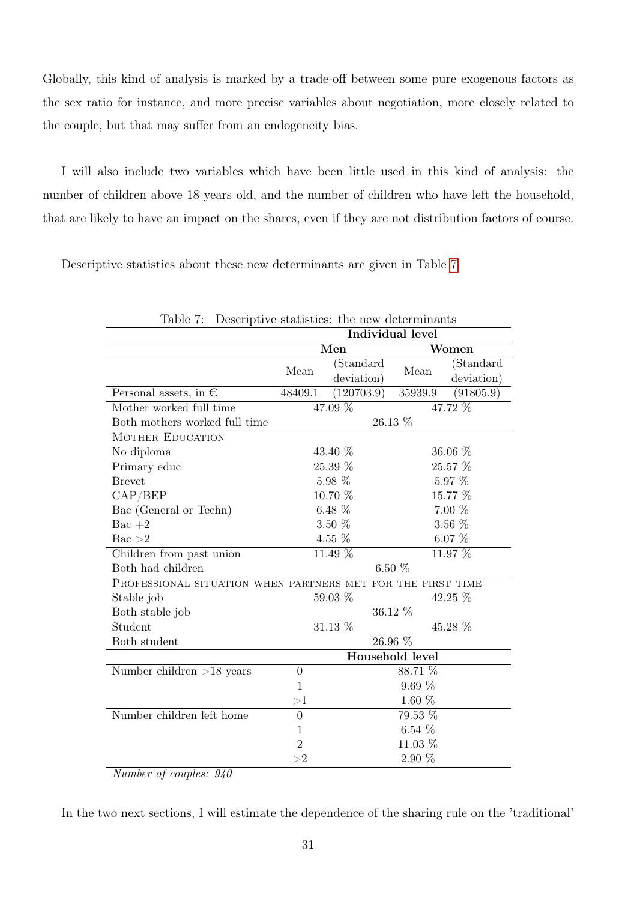Globally, this kind of analysis is marked by a trade-off between some pure exogenous factors as the sex ratio for instance, and more precise variables about negotiation, more closely related to the couple, but that may suffer from an endogeneity bias.

I will also include two variables which have been little used in this kind of analysis: the number of children above 18 years old, and the number of children who have left the household, that are likely to have an impact on the shares, even if they are not distribution factors of course.

Descriptive statistics about these new determinants are given in Table [7.](#page-31-0)

<span id="page-31-0"></span>

| Table 7:                                                    | Descriptive statistics: the new determinants |            |                 |            |  |
|-------------------------------------------------------------|----------------------------------------------|------------|-----------------|------------|--|
|                                                             | Individual level                             |            |                 |            |  |
|                                                             |                                              | Men        |                 | Women      |  |
|                                                             | Mean                                         | (Standard  | Mean            | (Standard  |  |
|                                                             |                                              | deviation) |                 | deviation) |  |
| Personal assets, in $\epsilon$                              | 48409.1                                      | (120703.9) | 35939.9         | (91805.9)  |  |
| Mother worked full time                                     |                                              | 47.09 %    |                 | 47.72 %    |  |
| Both mothers worked full time                               |                                              |            | 26.13 %         |            |  |
| <b>MOTHER EDUCATION</b>                                     |                                              |            |                 |            |  |
| No diploma                                                  |                                              | 43.40 %    |                 | 36.06 %    |  |
| Primary educ                                                |                                              | 25.39 %    |                 | 25.57 %    |  |
| <b>Brevet</b>                                               |                                              | 5.98 %     |                 | 5.97 %     |  |
| CAP/BEP                                                     |                                              | 10.70 %    |                 | 15.77 %    |  |
| Bac (General or Techn)                                      | $6.48\%$                                     |            | $7.00\%$        |            |  |
| $Bac + 2$                                                   | $3.50\%$                                     |            | $3.56~\%$       |            |  |
| Bac >2                                                      | 4.55 %                                       |            | $6.07\%$        |            |  |
| Children from past union                                    | 11.49 %                                      |            | 11.97 %         |            |  |
| Both had children                                           |                                              |            | $6.50\%$        |            |  |
| PROFESSIONAL SITUATION WHEN PARTNERS MET FOR THE FIRST TIME |                                              |            |                 |            |  |
| Stable job                                                  |                                              | 59.03 %    |                 | 42.25 %    |  |
| Both stable job                                             |                                              |            | 36.12 %         |            |  |
| Student                                                     |                                              | 31.13 %    |                 | 45.28 %    |  |
| Both student                                                |                                              |            | 26.96 %         |            |  |
|                                                             |                                              |            | Household level |            |  |
| Number children $>18$ years                                 | $\overline{0}$                               |            | 88.71 %         |            |  |
|                                                             | $\mathbf{1}$                                 |            | 9.69%           |            |  |
|                                                             | >1                                           |            | $1.60~\%$       |            |  |
| Number children left home                                   | $\overline{0}$                               |            | 79.53 %         |            |  |
|                                                             | $\mathbf{1}$                                 |            | $6.54\%$        |            |  |
|                                                             | $\overline{2}$                               |            | 11.03 %         |            |  |
|                                                             | >2                                           |            | $2.90\%$        |            |  |

Number of couples: 940

In the two next sections, I will estimate the dependence of the sharing rule on the 'traditional'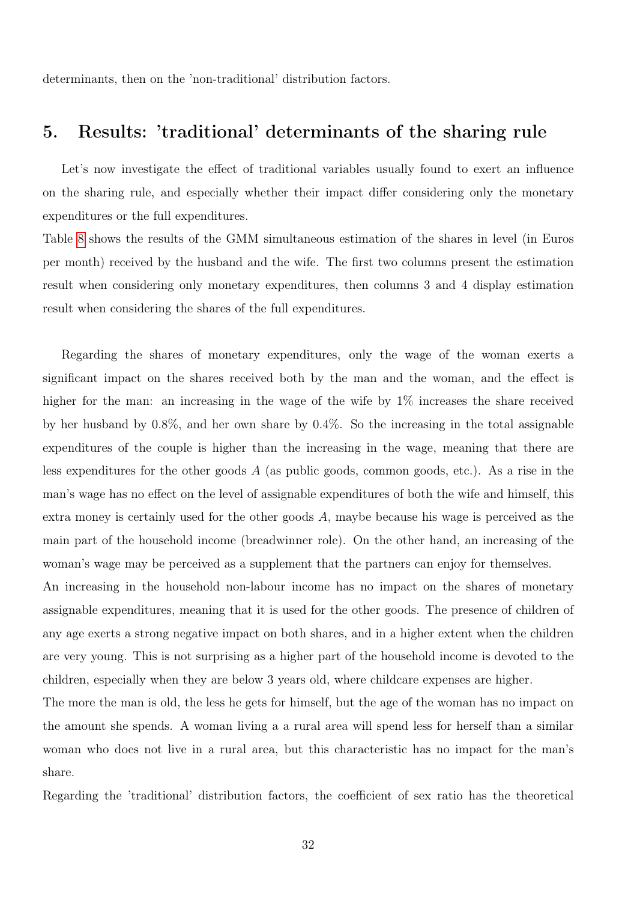determinants, then on the 'non-traditional' distribution factors.

# 5. Results: 'traditional' determinants of the sharing rule

Let's now investigate the effect of traditional variables usually found to exert an influence on the sharing rule, and especially whether their impact differ considering only the monetary expenditures or the full expenditures.

Table [8](#page-33-0) shows the results of the GMM simultaneous estimation of the shares in level (in Euros per month) received by the husband and the wife. The first two columns present the estimation result when considering only monetary expenditures, then columns 3 and 4 display estimation result when considering the shares of the full expenditures.

Regarding the shares of monetary expenditures, only the wage of the woman exerts a significant impact on the shares received both by the man and the woman, and the effect is higher for the man: an increasing in the wage of the wife by  $1\%$  increases the share received by her husband by 0.8%, and her own share by 0.4%. So the increasing in the total assignable expenditures of the couple is higher than the increasing in the wage, meaning that there are less expenditures for the other goods  $A$  (as public goods, common goods, etc.). As a rise in the man's wage has no effect on the level of assignable expenditures of both the wife and himself, this extra money is certainly used for the other goods A, maybe because his wage is perceived as the main part of the household income (breadwinner role). On the other hand, an increasing of the woman's wage may be perceived as a supplement that the partners can enjoy for themselves.

An increasing in the household non-labour income has no impact on the shares of monetary assignable expenditures, meaning that it is used for the other goods. The presence of children of any age exerts a strong negative impact on both shares, and in a higher extent when the children are very young. This is not surprising as a higher part of the household income is devoted to the children, especially when they are below 3 years old, where childcare expenses are higher.

The more the man is old, the less he gets for himself, but the age of the woman has no impact on the amount she spends. A woman living a a rural area will spend less for herself than a similar woman who does not live in a rural area, but this characteristic has no impact for the man's share.

Regarding the 'traditional' distribution factors, the coefficient of sex ratio has the theoretical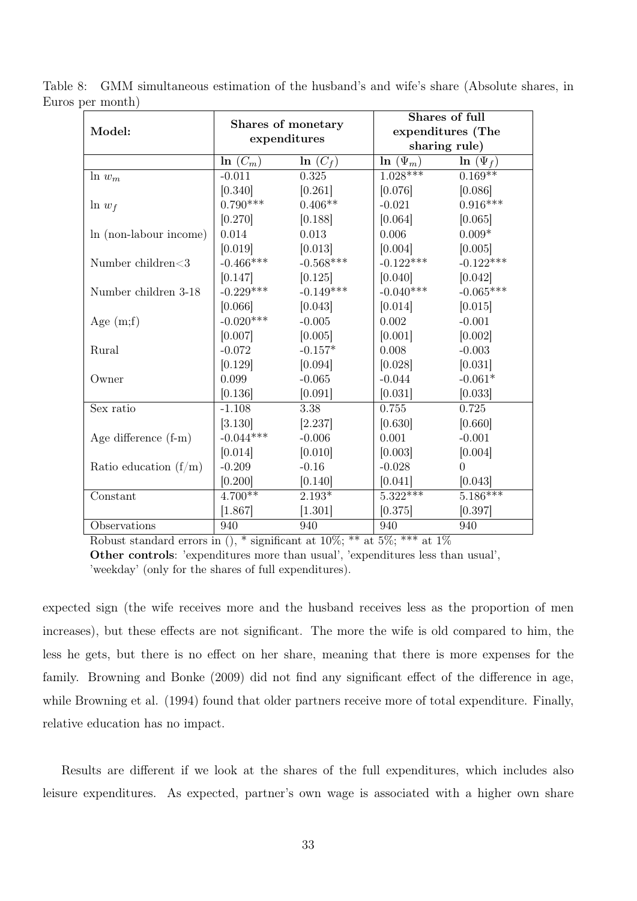<span id="page-33-0"></span>

| Model:                  | Shares of monetary<br>expenditures |             |               | Shares of full<br>expenditures (The<br>sharing rule) |
|-------------------------|------------------------------------|-------------|---------------|------------------------------------------------------|
|                         | $\ln(C_m)$                         | $\ln(C_f)$  | $\ln(\Psi_m)$ | $\ln (\Psi_f)$                                       |
| $ln w_m$                | $-0.011$                           | 0.325       | $1.028***$    | $0.169**$                                            |
|                         | [0.340]                            | [0.261]     | [0.076]       | [0.086]                                              |
| $\ln w_f$               | $0.790***$                         | $0.406**$   | $-0.021$      | $0.916***$                                           |
|                         | [0.270]                            | [0.188]     | [0.064]       | [0.065]                                              |
| In (non-labour income)  | 0.014                              | 0.013       | 0.006         | $0.009*$                                             |
|                         | [0.019]                            | [0.013]     | [0.004]       | [0.005]                                              |
| Number children<3       | $-0.466***$                        | $-0.568***$ | $-0.122***$   | $-0.122***$                                          |
|                         | [0.147]                            | [0.125]     | [0.040]       | [0.042]                                              |
| Number children 3-18    | $-0.229***$                        | $-0.149***$ | $-0.040***$   | $-0.065***$                                          |
|                         | [0.066]                            | [0.043]     | [0.014]       | [0.015]                                              |
| Age $(m;f)$             | $-0.020***$                        | $-0.005$    | 0.002         | $-0.001$                                             |
|                         | [0.007]                            | [0.005]     | [0.001]       | [0.002]                                              |
| Rural                   | $-0.072$                           | $-0.157*$   | 0.008         | $-0.003$                                             |
|                         | [0.129]                            | [0.094]     | [0.028]       | [0.031]                                              |
| Owner                   | 0.099                              | $-0.065$    | $-0.044$      | $-0.061*$                                            |
|                         | [0.136]                            | [0.091]     | [0.031]       | [0.033]                                              |
| Sex ratio               | $-1.108$                           | 3.38        | 0.755         | 0.725                                                |
|                         | [3.130]                            | [2.237]     | [0.630]       | [0.660]                                              |
| Age difference $(f-m)$  | $-0.044***$                        | $-0.006$    | 0.001         | $-0.001$                                             |
|                         | [0.014]                            | [0.010]     | [0.003]       | [0.004]                                              |
| Ratio education $(f/m)$ | $-0.209$                           | $-0.16$     | $-0.028$      | $\Omega$                                             |
|                         | [0.200]                            | [0.140]     | [0.041]       | [0.043]                                              |
| Constant                | $4.700**$                          | $2.193*$    | $5.322***$    | $5.186***$                                           |
|                         | [1.867]                            | [1.301]     | [0.375]       | [0.397]                                              |
| Observations            | 940                                | 940         | 940           | 940                                                  |

Table 8: GMM simultaneous estimation of the husband's and wife's share (Absolute shares, in Euros per month)

Robust standard errors in  $($ ,  $*$  significant at 10%;  $**$  at 5%;  $***$  at 1%

Other controls: 'expenditures more than usual', 'expenditures less than usual', 'weekday' (only for the shares of full expenditures).

expected sign (the wife receives more and the husband receives less as the proportion of men increases), but these effects are not significant. The more the wife is old compared to him, the less he gets, but there is no effect on her share, meaning that there is more expenses for the family. Browning and Bonke (2009) did not find any significant effect of the difference in age, while Browning et al. (1994) found that older partners receive more of total expenditure. Finally, relative education has no impact.

Results are different if we look at the shares of the full expenditures, which includes also leisure expenditures. As expected, partner's own wage is associated with a higher own share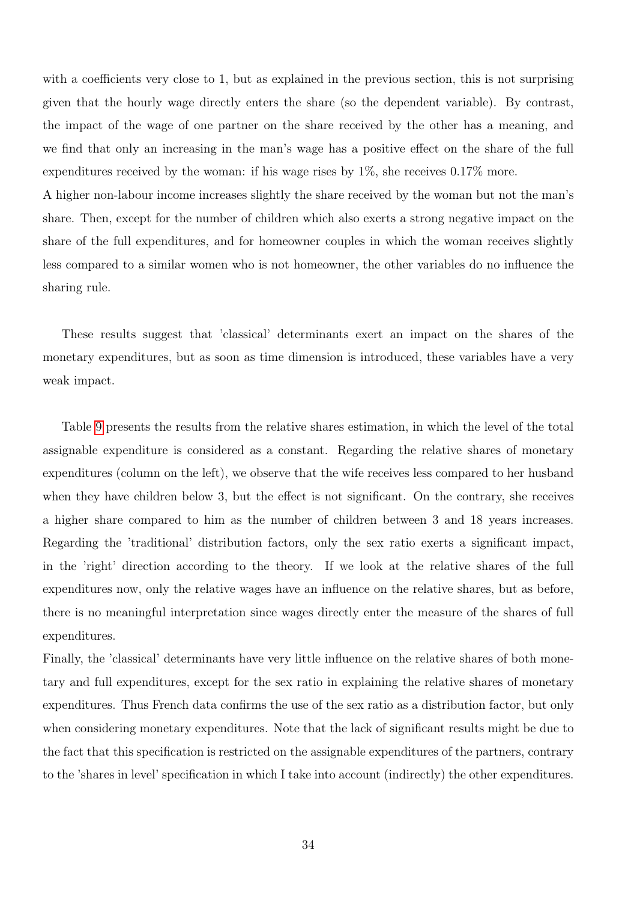with a coefficients very close to 1, but as explained in the previous section, this is not surprising given that the hourly wage directly enters the share (so the dependent variable). By contrast, the impact of the wage of one partner on the share received by the other has a meaning, and we find that only an increasing in the man's wage has a positive effect on the share of the full expenditures received by the woman: if his wage rises by  $1\%$ , she receives  $0.17\%$  more.

A higher non-labour income increases slightly the share received by the woman but not the man's share. Then, except for the number of children which also exerts a strong negative impact on the share of the full expenditures, and for homeowner couples in which the woman receives slightly less compared to a similar women who is not homeowner, the other variables do no influence the sharing rule.

These results suggest that 'classical' determinants exert an impact on the shares of the monetary expenditures, but as soon as time dimension is introduced, these variables have a very weak impact.

Table [9](#page-35-0) presents the results from the relative shares estimation, in which the level of the total assignable expenditure is considered as a constant. Regarding the relative shares of monetary expenditures (column on the left), we observe that the wife receives less compared to her husband when they have children below 3, but the effect is not significant. On the contrary, she receives a higher share compared to him as the number of children between 3 and 18 years increases. Regarding the 'traditional' distribution factors, only the sex ratio exerts a significant impact, in the 'right' direction according to the theory. If we look at the relative shares of the full expenditures now, only the relative wages have an influence on the relative shares, but as before, there is no meaningful interpretation since wages directly enter the measure of the shares of full expenditures.

Finally, the 'classical' determinants have very little influence on the relative shares of both monetary and full expenditures, except for the sex ratio in explaining the relative shares of monetary expenditures. Thus French data confirms the use of the sex ratio as a distribution factor, but only when considering monetary expenditures. Note that the lack of significant results might be due to the fact that this specification is restricted on the assignable expenditures of the partners, contrary to the 'shares in level' specification in which I take into account (indirectly) the other expenditures.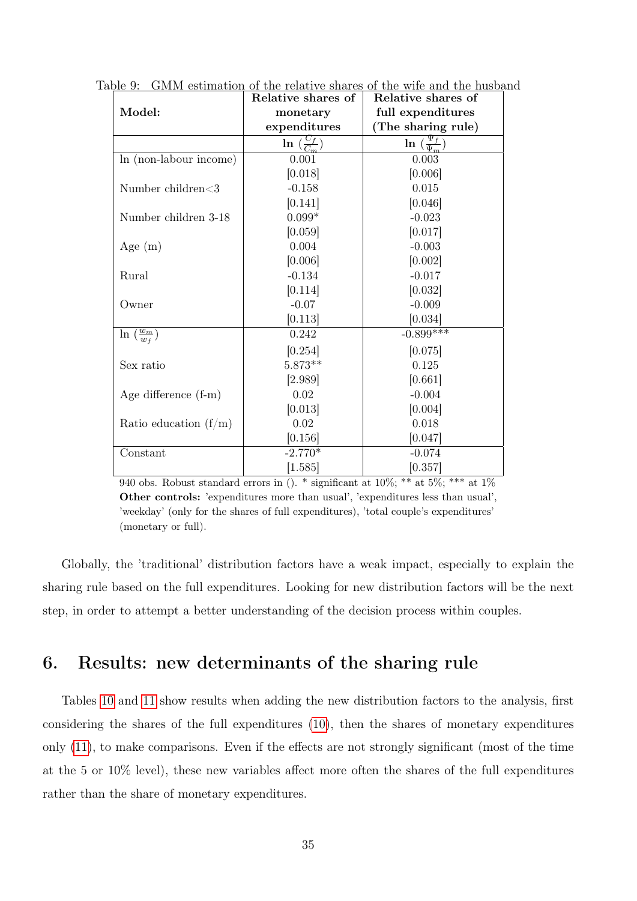<span id="page-35-0"></span>

|                                   | Relative shares of                           | Relative shares of                      |
|-----------------------------------|----------------------------------------------|-----------------------------------------|
| Model:                            | monetary                                     | full expenditures                       |
|                                   | expenditures                                 | (The sharing rule)                      |
|                                   | $\overline{\ln\left(\frac{C_f}{C_m}\right)}$ | $\ln\left(\frac{\Psi_f}{\Psi_m}\right)$ |
| In (non-labour income)            | 0.001                                        | 0.003                                   |
|                                   | [0.018]                                      | [0.006]                                 |
| Number children<3                 | $-0.158$                                     | 0.015                                   |
|                                   | [0.141]                                      | [0.046]                                 |
| Number children 3-18              | $0.099*$                                     | $-0.023$                                |
|                                   | [0.059]                                      | [0.017]                                 |
| Age $(m)$                         | 0.004                                        | $-0.003$                                |
|                                   | [0.006]                                      | [0.002]                                 |
| Rural                             | $-0.134$                                     | $-0.017$                                |
|                                   | [0.114]                                      | [0.032]                                 |
| Owner                             | $-0.07$                                      | $-0.009$                                |
|                                   | [0.113]                                      | [0.034]                                 |
| $\ln\left(\frac{w_m}{w_f}\right)$ | 0.242                                        | $-0.899***$                             |
|                                   | [0.254]                                      | [0.075]                                 |
| Sex ratio                         | $5.873**$                                    | 0.125                                   |
|                                   | [2.989]                                      | [0.661]                                 |
| Age difference (f-m)              | 0.02                                         | $-0.004$                                |
|                                   | [0.013]                                      | [0.004]                                 |
| Ratio education $(f/m)$           | 0.02                                         | 0.018                                   |
|                                   | [0.156]                                      | [0.047]                                 |
| Constant                          | $-2.770*$                                    | $-0.074$                                |
|                                   | [1.585]                                      | [0.357]                                 |

Table 9: GMM estimation of the relative shares of the wife and the husband

940 obs. Robust standard errors in ().  $*$  significant at 10%;  $**$  at 5%;  $***$  at 1% Other controls: 'expenditures more than usual', 'expenditures less than usual', 'weekday' (only for the shares of full expenditures), 'total couple's expenditures' (monetary or full).

Globally, the 'traditional' distribution factors have a weak impact, especially to explain the sharing rule based on the full expenditures. Looking for new distribution factors will be the next step, in order to attempt a better understanding of the decision process within couples.

# 6. Results: new determinants of the sharing rule

Tables [10](#page-36-0) and [11](#page-40-0) show results when adding the new distribution factors to the analysis, first considering the shares of the full expenditures [\(10\)](#page-36-0), then the shares of monetary expenditures only [\(11\)](#page-40-0), to make comparisons. Even if the effects are not strongly significant (most of the time at the 5 or 10% level), these new variables affect more often the shares of the full expenditures rather than the share of monetary expenditures.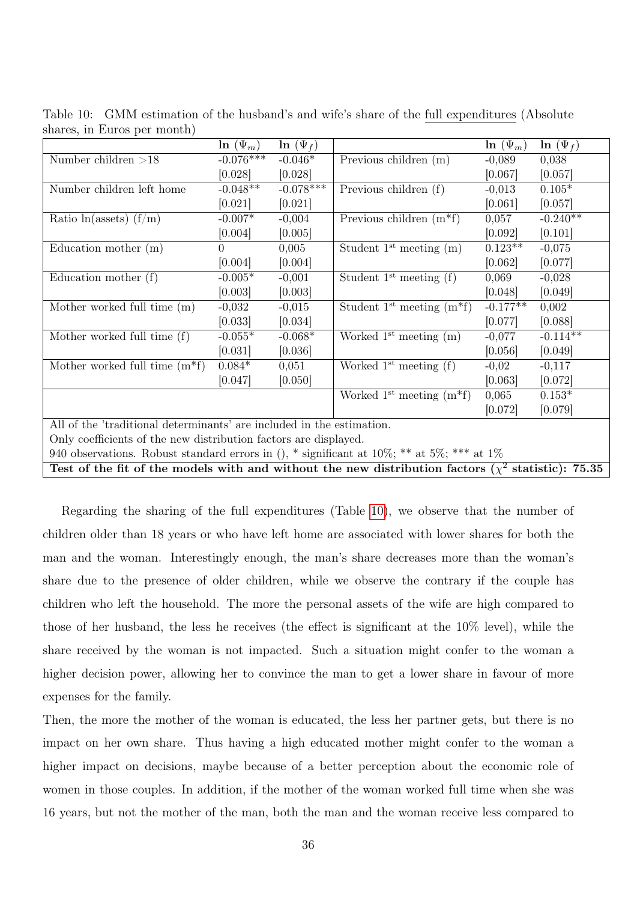|                                                                                                          | $\ln(\Psi_m)$ | $\ln (\Psi_f)$ |                                         | $\ln(\Psi_m)$ | $\ln (\Psi_f)$ |  |
|----------------------------------------------------------------------------------------------------------|---------------|----------------|-----------------------------------------|---------------|----------------|--|
| Number children $>18$                                                                                    | $-0.076***$   | $-0.046*$      | Previous children (m)                   | $-0,089$      | 0,038          |  |
|                                                                                                          | [0.028]       | [0.028]        |                                         | [0.067]       | [0.057]        |  |
| Number children left home                                                                                | $-0.048**$    | $-0.078***$    | Previous children (f)                   | $-0,013$      | $0.105*$       |  |
|                                                                                                          | [0.021]       | [0.021]        |                                         | [0.061]       | [0.057]        |  |
| Ratio $ln(a$ ssets) $(f/m)$                                                                              | $-0.007*$     | $-0,004$       | Previous children $(m*f)$               | 0,057         | $-0.240**$     |  |
|                                                                                                          | [0.004]       | [0.005]        |                                         | [0.092]       | [0.101]        |  |
| Education mother $(m)$                                                                                   | 0             | 0,005          | Student $1st$ meeting $(m)$             | $0.123**$     | $-0,075$       |  |
|                                                                                                          | [0.004]       | [0.004]        |                                         | [0.062]       | [0.077]        |  |
| Education mother $(f)$                                                                                   | $-0.005*$     | $-0,001$       | Student $1^{st}$ meeting $(f)$          | 0,069         | $-0,028$       |  |
|                                                                                                          | [0.003]       | 0.003          |                                         | [0.048]       | [0.049]        |  |
| Mother worked full time (m)                                                                              | $-0,032$      | $-0,015$       | Student 1 <sup>st</sup> meeting $(m*f)$ | $-0.177**$    | 0,002          |  |
|                                                                                                          | [0.033]       | [0.034]        |                                         | [0.077]       | [0.088]        |  |
| Mother worked full time (f)                                                                              | $-0.055*$     | $-0.068*$      | Worked $1st$ meeting $(m)$              | $-0,077$      | $-0.114**$     |  |
|                                                                                                          | [0.031]       | [0.036]        |                                         | [0.056]       | [0.049]        |  |
| Mother worked full time $(m*f)$                                                                          | $0.084*$      | 0,051          | Worked $1st$ meeting (f)                | $-0,02$       | $-0,117$       |  |
|                                                                                                          | [0.047]       | [0.050]        |                                         | [0.063]       | [0.072]        |  |
|                                                                                                          |               |                | Worked $1^{\text{st}}$ meeting $(m^*f)$ | 0,065         | $0.153*$       |  |
|                                                                                                          |               |                |                                         | [0.072]       | [0.079]        |  |
| All of the 'traditional determinants' are included in the estimation.                                    |               |                |                                         |               |                |  |
| Only coefficients of the new distribution factors are displayed.                                         |               |                |                                         |               |                |  |
| 940 observations. Robust standard errors in (), * significant at $10\%$ ; ** at $5\%$ ; *** at $1\%$     |               |                |                                         |               |                |  |
| Test of the fit of the models with and without the new distribution factors ( $\chi^2$ statistic): 75.35 |               |                |                                         |               |                |  |

<span id="page-36-0"></span>Table 10: GMM estimation of the husband's and wife's share of the full expenditures (Absolute shares, in Euros per month)

Regarding the sharing of the full expenditures (Table [10\)](#page-36-0), we observe that the number of children older than 18 years or who have left home are associated with lower shares for both the man and the woman. Interestingly enough, the man's share decreases more than the woman's share due to the presence of older children, while we observe the contrary if the couple has children who left the household. The more the personal assets of the wife are high compared to those of her husband, the less he receives (the effect is significant at the 10% level), while the share received by the woman is not impacted. Such a situation might confer to the woman a higher decision power, allowing her to convince the man to get a lower share in favour of more expenses for the family.

Then, the more the mother of the woman is educated, the less her partner gets, but there is no impact on her own share. Thus having a high educated mother might confer to the woman a higher impact on decisions, maybe because of a better perception about the economic role of women in those couples. In addition, if the mother of the woman worked full time when she was 16 years, but not the mother of the man, both the man and the woman receive less compared to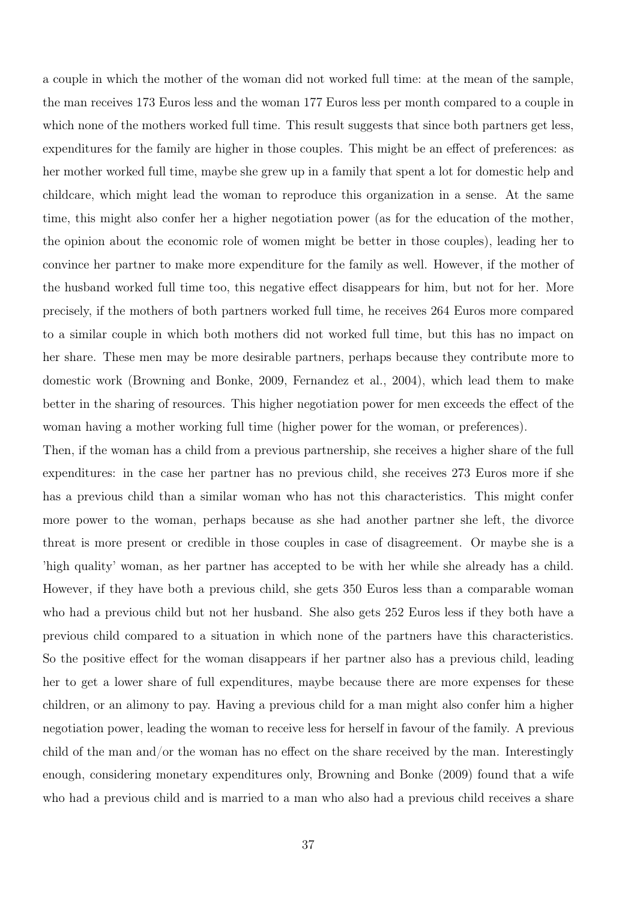a couple in which the mother of the woman did not worked full time: at the mean of the sample, the man receives 173 Euros less and the woman 177 Euros less per month compared to a couple in which none of the mothers worked full time. This result suggests that since both partners get less, expenditures for the family are higher in those couples. This might be an effect of preferences: as her mother worked full time, maybe she grew up in a family that spent a lot for domestic help and childcare, which might lead the woman to reproduce this organization in a sense. At the same time, this might also confer her a higher negotiation power (as for the education of the mother, the opinion about the economic role of women might be better in those couples), leading her to convince her partner to make more expenditure for the family as well. However, if the mother of the husband worked full time too, this negative effect disappears for him, but not for her. More precisely, if the mothers of both partners worked full time, he receives 264 Euros more compared to a similar couple in which both mothers did not worked full time, but this has no impact on her share. These men may be more desirable partners, perhaps because they contribute more to domestic work (Browning and Bonke, 2009, Fernandez et al., 2004), which lead them to make better in the sharing of resources. This higher negotiation power for men exceeds the effect of the woman having a mother working full time (higher power for the woman, or preferences).

Then, if the woman has a child from a previous partnership, she receives a higher share of the full expenditures: in the case her partner has no previous child, she receives 273 Euros more if she has a previous child than a similar woman who has not this characteristics. This might confer more power to the woman, perhaps because as she had another partner she left, the divorce threat is more present or credible in those couples in case of disagreement. Or maybe she is a 'high quality' woman, as her partner has accepted to be with her while she already has a child. However, if they have both a previous child, she gets 350 Euros less than a comparable woman who had a previous child but not her husband. She also gets 252 Euros less if they both have a previous child compared to a situation in which none of the partners have this characteristics. So the positive effect for the woman disappears if her partner also has a previous child, leading her to get a lower share of full expenditures, maybe because there are more expenses for these children, or an alimony to pay. Having a previous child for a man might also confer him a higher negotiation power, leading the woman to receive less for herself in favour of the family. A previous child of the man and/or the woman has no effect on the share received by the man. Interestingly enough, considering monetary expenditures only, Browning and Bonke (2009) found that a wife who had a previous child and is married to a man who also had a previous child receives a share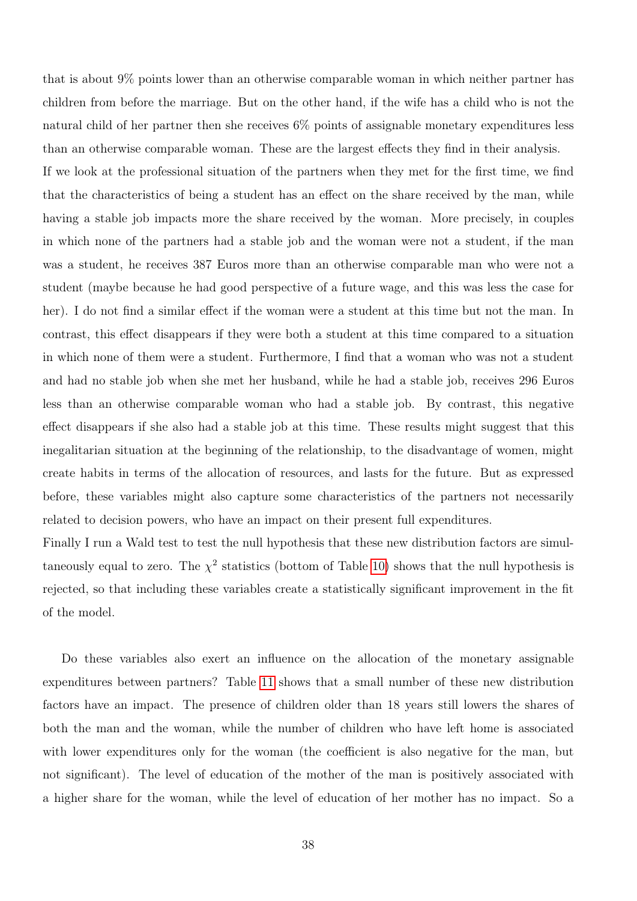that is about 9% points lower than an otherwise comparable woman in which neither partner has children from before the marriage. But on the other hand, if the wife has a child who is not the natural child of her partner then she receives 6% points of assignable monetary expenditures less than an otherwise comparable woman. These are the largest effects they find in their analysis. If we look at the professional situation of the partners when they met for the first time, we find that the characteristics of being a student has an effect on the share received by the man, while having a stable job impacts more the share received by the woman. More precisely, in couples in which none of the partners had a stable job and the woman were not a student, if the man was a student, he receives 387 Euros more than an otherwise comparable man who were not a student (maybe because he had good perspective of a future wage, and this was less the case for her). I do not find a similar effect if the woman were a student at this time but not the man. In contrast, this effect disappears if they were both a student at this time compared to a situation in which none of them were a student. Furthermore, I find that a woman who was not a student and had no stable job when she met her husband, while he had a stable job, receives 296 Euros less than an otherwise comparable woman who had a stable job. By contrast, this negative effect disappears if she also had a stable job at this time. These results might suggest that this inegalitarian situation at the beginning of the relationship, to the disadvantage of women, might create habits in terms of the allocation of resources, and lasts for the future. But as expressed before, these variables might also capture some characteristics of the partners not necessarily related to decision powers, who have an impact on their present full expenditures.

Finally I run a Wald test to test the null hypothesis that these new distribution factors are simultaneously equal to zero. The  $\chi^2$  statistics (bottom of Table [10\)](#page-36-0) shows that the null hypothesis is rejected, so that including these variables create a statistically significant improvement in the fit of the model.

Do these variables also exert an influence on the allocation of the monetary assignable expenditures between partners? Table [11](#page-40-0) shows that a small number of these new distribution factors have an impact. The presence of children older than 18 years still lowers the shares of both the man and the woman, while the number of children who have left home is associated with lower expenditures only for the woman (the coefficient is also negative for the man, but not significant). The level of education of the mother of the man is positively associated with a higher share for the woman, while the level of education of her mother has no impact. So a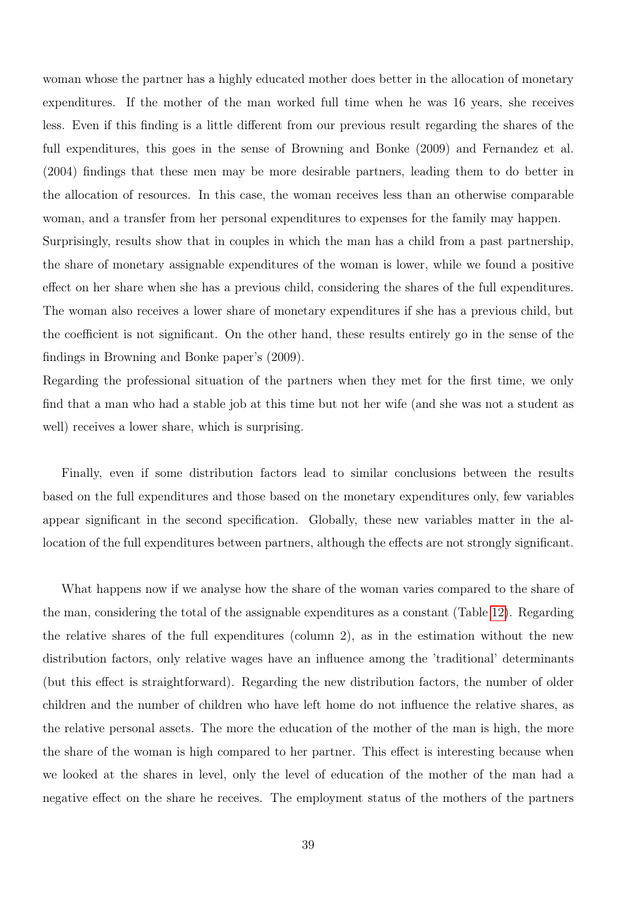woman whose the partner has a highly educated mother does better in the allocation of monetary expenditures. If the mother of the man worked full time when he was 16 years, she receives less. Even if this finding is a little different from our previous result regarding the shares of the full expenditures, this goes in the sense of Browning and Bonke (2009) and Fernandez et al. (2004) findings that these men may be more desirable partners, leading them to do better in the allocation of resources. In this case, the woman receives less than an otherwise comparable woman, and a transfer from her personal expenditures to expenses for the family may happen. Surprisingly, results show that in couples in which the man has a child from a past partnership, the share of monetary assignable expenditures of the woman is lower, while we found a positive effect on her share when she has a previous child, considering the shares of the full expenditures. The woman also receives a lower share of monetary expenditures if she has a previous child, but the coefficient is not significant. On the other hand, these results entirely go in the sense of the findings in Browning and Bonke paper's (2009).

Regarding the professional situation of the partners when they met for the first time, we only find that a man who had a stable job at this time but not her wife (and she was not a student as well) receives a lower share, which is surprising.

Finally, even if some distribution factors lead to similar conclusions between the results based on the full expenditures and those based on the monetary expenditures only, few variables appear significant in the second specification. Globally, these new variables matter in the allocation of the full expenditures between partners, although the effects are not strongly significant.

What happens now if we analyse how the share of the woman varies compared to the share of the man, considering the total of the assignable expenditures as a constant (Table [12\)](#page-42-0). Regarding the relative shares of the full expenditures (column 2), as in the estimation without the new distribution factors, only relative wages have an influence among the 'traditional' determinants (but this effect is straightforward). Regarding the new distribution factors, the number of older children and the number of children who have left home do not influence the relative shares, as the relative personal assets. The more the education of the mother of the man is high, the more the share of the woman is high compared to her partner. This effect is interesting because when we looked at the shares in level, only the level of education of the mother of the man had a negative effect on the share he receives. The employment status of the mothers of the partners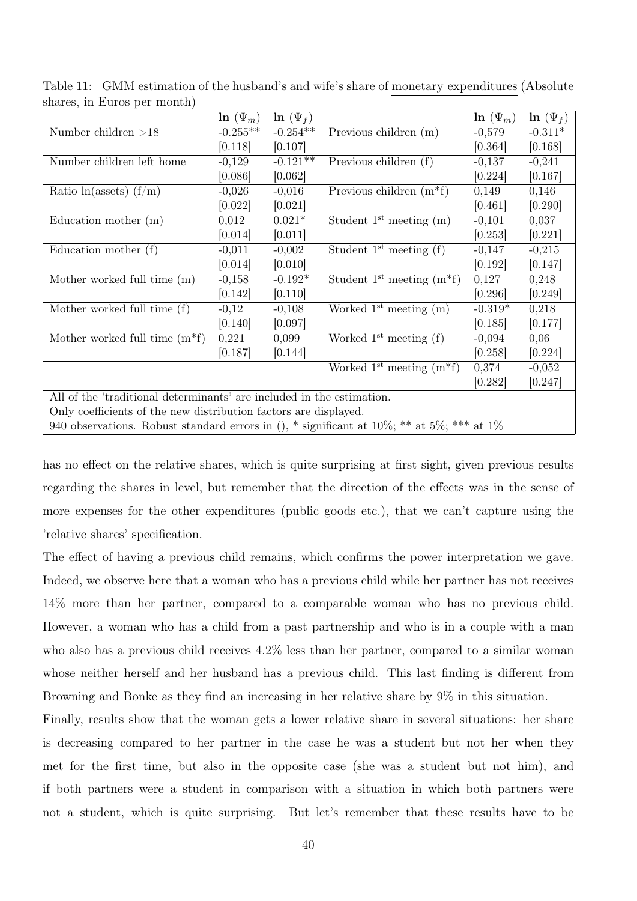| $_{\rm{511GHz}}$ $_{\rm{50,11}}$ $_{\rm{111}}$ $_{\rm{121GHz}}$ $_{\rm{131}}$ $_{\rm{141}}$ |                                                                  |                |                                         |               |               |  |  |
|---------------------------------------------------------------------------------------------|------------------------------------------------------------------|----------------|-----------------------------------------|---------------|---------------|--|--|
|                                                                                             | $\ln(\Psi_m)$                                                    | $\ln (\Psi_f)$ |                                         | $\ln(\Psi_m)$ | $\ln(\Psi_f)$ |  |  |
| Number children $>18$                                                                       | $-0.255**$                                                       | $-0.254**$     | Previous children (m)                   | $-0,579$      | $-0.311*$     |  |  |
|                                                                                             | [0.118]                                                          | [0.107]        |                                         | [0.364]       | [0.168]       |  |  |
| Number children left home                                                                   | $-0,129$                                                         | $-0.121**$     | Previous children (f)                   | $-0,137$      | $-0,241$      |  |  |
|                                                                                             | [0.086]                                                          | [0.062]        |                                         | [0.224]       | [0.167]       |  |  |
| Ratio $ln(a$ ssets) $(f/m)$                                                                 | $-0,026$                                                         | $-0,016$       | Previous children $(m*f)$               | 0,149         | 0,146         |  |  |
|                                                                                             | [0.022]                                                          | [0.021]        |                                         | [0.461]       | [0.290]       |  |  |
| Education mother $(m)$                                                                      | 0,012                                                            | $0.021*$       | Student $1st$ meeting $(m)$             | $-0,101$      | 0,037         |  |  |
|                                                                                             | [0.014]                                                          | [0.011]        |                                         | [0.253]       | [0.221]       |  |  |
| Education mother $(f)$                                                                      | $-0,011$                                                         | $-0,002$       | Student $1^{st}$ meeting $(f)$          | $-0,147$      | $-0,215$      |  |  |
|                                                                                             | [0.014]                                                          | [0.010]        |                                         | [0.192]       | [0.147]       |  |  |
| Mother worked full time (m)                                                                 | $-0,158$                                                         | $-0.192*$      | Student 1 <sup>st</sup> meeting $(m*f)$ | 0,127         | 0,248         |  |  |
|                                                                                             | [0.142]                                                          | [0.110]        |                                         | [0.296]       | [0.249]       |  |  |
| Mother worked full time (f)                                                                 | $-0,12$                                                          | $-0,108$       | Worked $1st$ meeting $(m)$              | $-0.319*$     | 0,218         |  |  |
|                                                                                             | [0.140]                                                          | [0.097]        |                                         | [0.185]       | [0.177]       |  |  |
| Mother worked full time $(m*f)$                                                             | 0,221                                                            | 0,099          | Worked $1^{st}$ meeting $(f)$           | $-0,094$      | 0,06          |  |  |
|                                                                                             | [0.187]                                                          | [0.144]        |                                         | [0.258]       | [0.224]       |  |  |
|                                                                                             |                                                                  |                | Worked 1 <sup>st</sup> meeting $(m*f)$  | 0,374         | $-0,052$      |  |  |
|                                                                                             |                                                                  |                |                                         | [0.282]       | [0.247]       |  |  |
| All of the 'traditional determinants' are included in the estimation.                       |                                                                  |                |                                         |               |               |  |  |
|                                                                                             | Only coefficients of the new distribution factors are displayed. |                |                                         |               |               |  |  |
| 940 observations. Robust standard errors in (), * significant at 10%; ** at 5%; *** at 1%   |                                                                  |                |                                         |               |               |  |  |

<span id="page-40-0"></span>Table 11: GMM estimation of the husband's and wife's share of monetary expenditures (Absolute shares, in Euros per month)

has no effect on the relative shares, which is quite surprising at first sight, given previous results regarding the shares in level, but remember that the direction of the effects was in the sense of more expenses for the other expenditures (public goods etc.), that we can't capture using the 'relative shares' specification.

The effect of having a previous child remains, which confirms the power interpretation we gave. Indeed, we observe here that a woman who has a previous child while her partner has not receives 14% more than her partner, compared to a comparable woman who has no previous child. However, a woman who has a child from a past partnership and who is in a couple with a man who also has a previous child receives 4.2% less than her partner, compared to a similar woman whose neither herself and her husband has a previous child. This last finding is different from Browning and Bonke as they find an increasing in her relative share by 9% in this situation.

Finally, results show that the woman gets a lower relative share in several situations: her share is decreasing compared to her partner in the case he was a student but not her when they met for the first time, but also in the opposite case (she was a student but not him), and if both partners were a student in comparison with a situation in which both partners were not a student, which is quite surprising. But let's remember that these results have to be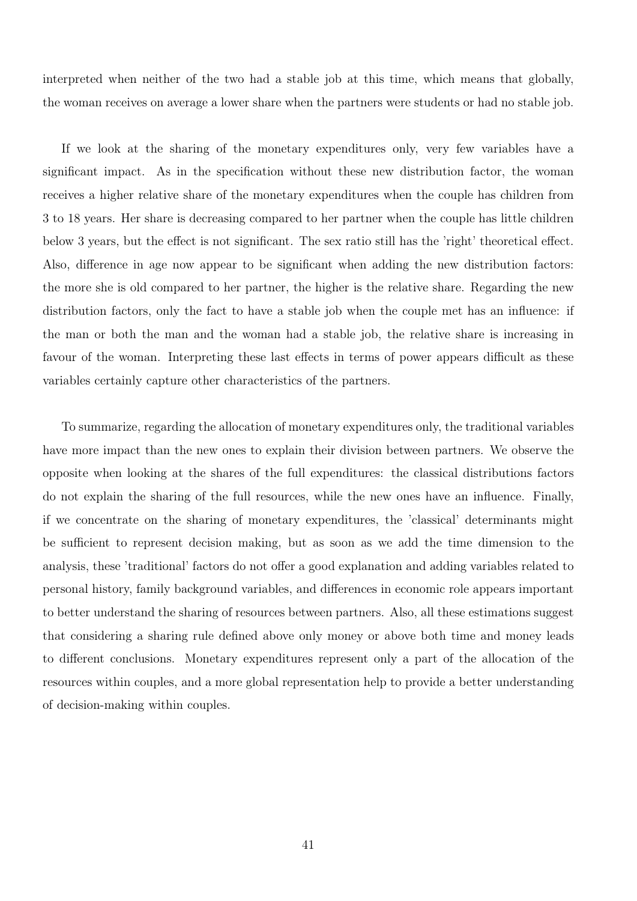interpreted when neither of the two had a stable job at this time, which means that globally, the woman receives on average a lower share when the partners were students or had no stable job.

If we look at the sharing of the monetary expenditures only, very few variables have a significant impact. As in the specification without these new distribution factor, the woman receives a higher relative share of the monetary expenditures when the couple has children from 3 to 18 years. Her share is decreasing compared to her partner when the couple has little children below 3 years, but the effect is not significant. The sex ratio still has the 'right' theoretical effect. Also, difference in age now appear to be significant when adding the new distribution factors: the more she is old compared to her partner, the higher is the relative share. Regarding the new distribution factors, only the fact to have a stable job when the couple met has an influence: if the man or both the man and the woman had a stable job, the relative share is increasing in favour of the woman. Interpreting these last effects in terms of power appears difficult as these variables certainly capture other characteristics of the partners.

To summarize, regarding the allocation of monetary expenditures only, the traditional variables have more impact than the new ones to explain their division between partners. We observe the opposite when looking at the shares of the full expenditures: the classical distributions factors do not explain the sharing of the full resources, while the new ones have an influence. Finally, if we concentrate on the sharing of monetary expenditures, the 'classical' determinants might be sufficient to represent decision making, but as soon as we add the time dimension to the analysis, these 'traditional' factors do not offer a good explanation and adding variables related to personal history, family background variables, and differences in economic role appears important to better understand the sharing of resources between partners. Also, all these estimations suggest that considering a sharing rule defined above only money or above both time and money leads to different conclusions. Monetary expenditures represent only a part of the allocation of the resources within couples, and a more global representation help to provide a better understanding of decision-making within couples.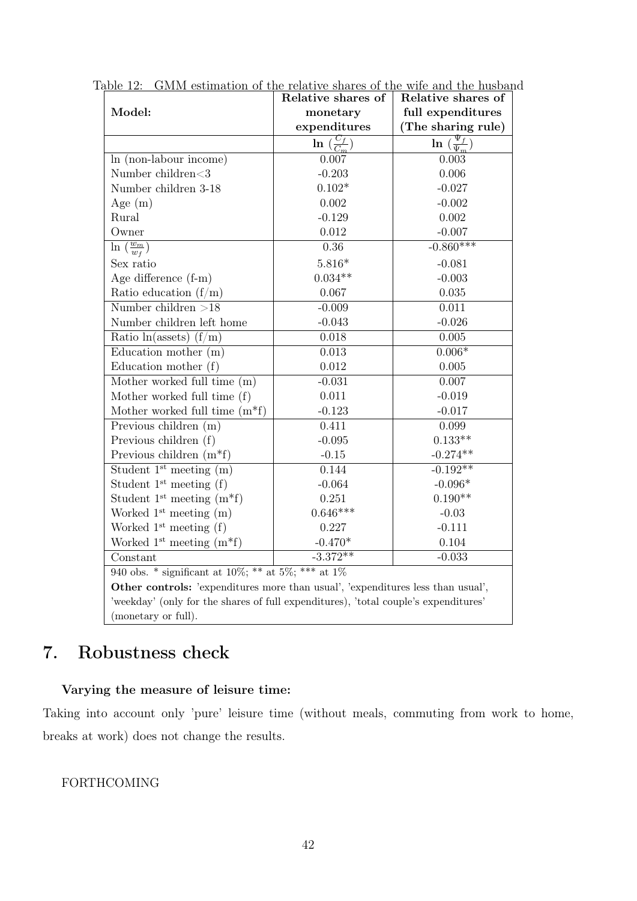<span id="page-42-0"></span>

|                                                                                     | Relative shares of                | Relative shares of                      |  |  |  |  |
|-------------------------------------------------------------------------------------|-----------------------------------|-----------------------------------------|--|--|--|--|
| Model:                                                                              | monetary                          | full expenditures                       |  |  |  |  |
|                                                                                     | expenditures                      | (The sharing rule)                      |  |  |  |  |
|                                                                                     | $\ln\left(\frac{C_f}{C_m}\right)$ | $\ln\left(\frac{\Psi_f}{\Psi_m}\right)$ |  |  |  |  |
| In (non-labour income)                                                              | 0.007                             | 0.003                                   |  |  |  |  |
| Number children<3                                                                   | $-0.203$                          | 0.006                                   |  |  |  |  |
| Number children 3-18                                                                | $0.102*$                          | $-0.027$                                |  |  |  |  |
| Age $(m)$                                                                           | 0.002                             | $-0.002$                                |  |  |  |  |
| Rural                                                                               | $-0.129$                          | 0.002                                   |  |  |  |  |
| Owner                                                                               | $0.012\,$                         | $-0.007$                                |  |  |  |  |
| $\ln\left(\frac{w_m}{w_f}\right)$                                                   | 0.36                              | $-0.860***$                             |  |  |  |  |
| Sex ratio                                                                           | $5.816*$                          | $-0.081$                                |  |  |  |  |
| Age difference (f-m)                                                                | $0.034**$                         | $-0.003$                                |  |  |  |  |
| Ratio education $(f/m)$                                                             | 0.067                             | 0.035                                   |  |  |  |  |
| Number children $>18$                                                               | $-0.009$                          | 0.011                                   |  |  |  |  |
| Number children left home                                                           | $-0.043$                          | $-0.026$                                |  |  |  |  |
| Ratio $ln(a$ ssets) $(f/m)$                                                         | 0.018                             | 0.005                                   |  |  |  |  |
| Education mother $(m)$                                                              | 0.013                             | $0.006*$                                |  |  |  |  |
| Education mother $(f)$                                                              | 0.012                             | 0.005                                   |  |  |  |  |
| Mother worked full time (m)                                                         | $-0.031$                          | 0.007                                   |  |  |  |  |
| Mother worked full time (f)                                                         | 0.011                             | $-0.019$                                |  |  |  |  |
| Mother worked full time $(m*f)$                                                     | $-0.123$                          | $-0.017$                                |  |  |  |  |
| Previous children (m)                                                               | 0.411                             | 0.099                                   |  |  |  |  |
| Previous children (f)                                                               | $-0.095$                          | $0.133**$                               |  |  |  |  |
| Previous children $(m*f)$                                                           | $-0.15$                           | $-0.274**$                              |  |  |  |  |
| Student $1st$ meeting $(m)$                                                         | 0.144                             | $-0.192**$                              |  |  |  |  |
| Student $1^{st}$ meeting $(f)$                                                      | $-0.064$                          | $-0.096*$                               |  |  |  |  |
| Student $1^{st}$ meeting $(m*f)$                                                    | 0.251                             | $0.190**$                               |  |  |  |  |
| Worked $1st$ meeting $(m)$                                                          | $0.646***$                        | $-0.03$                                 |  |  |  |  |
| Worked $1^{st}$ meeting $(f)$                                                       | 0.227                             | $-0.111$                                |  |  |  |  |
| Worked $1^{st}$ meeting $(m*f)$                                                     | $-0.470*$                         | 0.104                                   |  |  |  |  |
| Constant                                                                            | $-3.372**$                        | $-0.033$                                |  |  |  |  |
| 940 obs. * significant at $10\%;$ ** at $5\%;$ *** at $1\%$                         |                                   |                                         |  |  |  |  |
| Other controls: 'expenditures more than usual', 'expenditures less than usual',     |                                   |                                         |  |  |  |  |
| 'weekday' (only for the shares of full expenditures), 'total couple's expenditures' |                                   |                                         |  |  |  |  |
| (monetary or full).                                                                 |                                   |                                         |  |  |  |  |

Table 12: GMM estimation of the relative shares of the wife and the husband

# 7. Robustness check

# Varying the measure of leisure time:

Taking into account only 'pure' leisure time (without meals, commuting from work to home, breaks at work) does not change the results.

### FORTHCOMING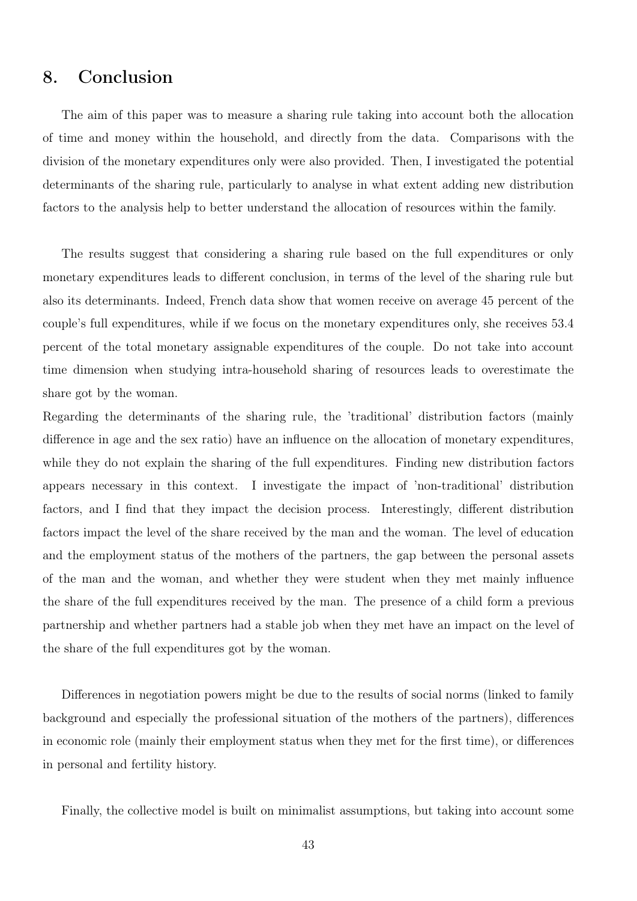# 8. Conclusion

The aim of this paper was to measure a sharing rule taking into account both the allocation of time and money within the household, and directly from the data. Comparisons with the division of the monetary expenditures only were also provided. Then, I investigated the potential determinants of the sharing rule, particularly to analyse in what extent adding new distribution factors to the analysis help to better understand the allocation of resources within the family.

The results suggest that considering a sharing rule based on the full expenditures or only monetary expenditures leads to different conclusion, in terms of the level of the sharing rule but also its determinants. Indeed, French data show that women receive on average 45 percent of the couple's full expenditures, while if we focus on the monetary expenditures only, she receives 53.4 percent of the total monetary assignable expenditures of the couple. Do not take into account time dimension when studying intra-household sharing of resources leads to overestimate the share got by the woman.

Regarding the determinants of the sharing rule, the 'traditional' distribution factors (mainly difference in age and the sex ratio) have an influence on the allocation of monetary expenditures, while they do not explain the sharing of the full expenditures. Finding new distribution factors appears necessary in this context. I investigate the impact of 'non-traditional' distribution factors, and I find that they impact the decision process. Interestingly, different distribution factors impact the level of the share received by the man and the woman. The level of education and the employment status of the mothers of the partners, the gap between the personal assets of the man and the woman, and whether they were student when they met mainly influence the share of the full expenditures received by the man. The presence of a child form a previous partnership and whether partners had a stable job when they met have an impact on the level of the share of the full expenditures got by the woman.

Differences in negotiation powers might be due to the results of social norms (linked to family background and especially the professional situation of the mothers of the partners), differences in economic role (mainly their employment status when they met for the first time), or differences in personal and fertility history.

Finally, the collective model is built on minimalist assumptions, but taking into account some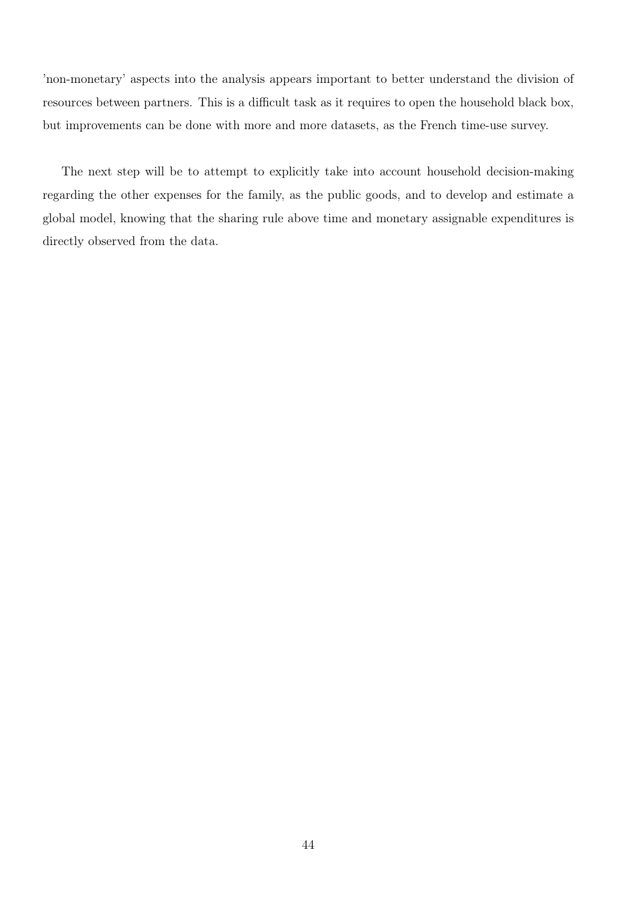'non-monetary' aspects into the analysis appears important to better understand the division of resources between partners. This is a difficult task as it requires to open the household black box, but improvements can be done with more and more datasets, as the French time-use survey.

The next step will be to attempt to explicitly take into account household decision-making regarding the other expenses for the family, as the public goods, and to develop and estimate a global model, knowing that the sharing rule above time and monetary assignable expenditures is directly observed from the data.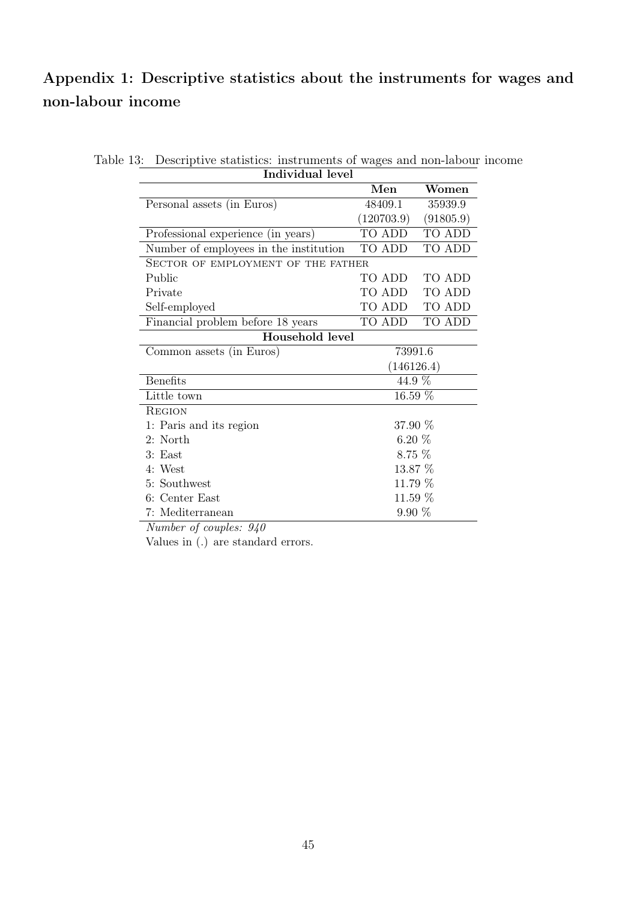# Appendix 1: Descriptive statistics about the instruments for wages and non-labour income

|                                        | Men        | Women     |
|----------------------------------------|------------|-----------|
| Personal assets (in Euros)             | 48409.1    | 35939.9   |
|                                        | (120703.9) | (91805.9) |
| Professional experience (in years)     | TO ADD     | TO ADD    |
| Number of employees in the institution | TO ADD     | TO ADD    |
| SECTOR OF EMPLOYMENT OF THE FATHER     |            |           |
| Public                                 | TO ADD -   | TO ADD    |
| Private                                | TO ADD –   | TO ADD    |
| Self-employed                          | TO ADD     | TO ADD    |
| Financial problem before 18 years      | TO ADD     | TO ADD    |
| Household level                        |            |           |
| Common assets (in Euros)               | 73991.6    |           |
|                                        | (146126.4) |           |
| <b>Benefits</b>                        | 44.9 %     |           |
| Little town                            | 16.59 %    |           |
| <b>REGION</b>                          |            |           |
| 1: Paris and its region                | 37.90 %    |           |
| 2: North                               | $6.20\%$   |           |
| 3: East                                | $8.75\%$   |           |
| 4: West                                | 13.87 %    |           |
| 5: Southwest                           | 11.79 %    |           |
| 6: Center East                         | 11.59 %    |           |
| 7: Mediterranean                       | $9.90\%$   |           |

Table 13: Descriptive statistics: instruments of wages and non-labour income Individual level

Number of couples: 940

Values in (.) are standard errors.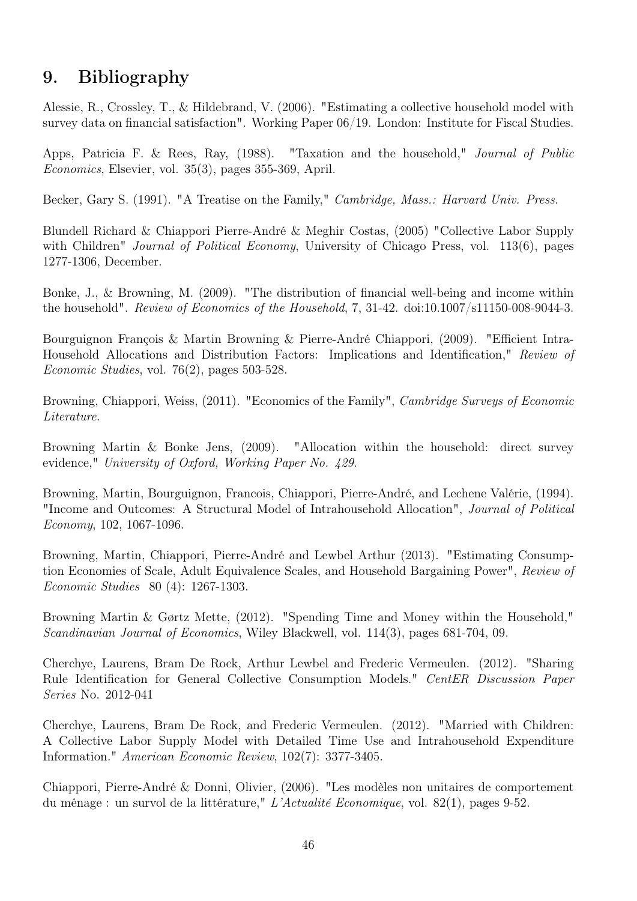# 9. Bibliography

Alessie, R., Crossley, T., & Hildebrand, V. (2006). "Estimating a collective household model with survey data on financial satisfaction". Working Paper 06/19. London: Institute for Fiscal Studies.

Apps, Patricia F. & Rees, Ray, (1988). "Taxation and the household," Journal of Public Economics, Elsevier, vol. 35(3), pages 355-369, April.

Becker, Gary S. (1991). "A Treatise on the Family," *Cambridge, Mass.: Harvard Univ. Press.* 

Blundell Richard & Chiappori Pierre-André & Meghir Costas, (2005) "Collective Labor Supply with Children" *Journal of Political Economy*, University of Chicago Press, vol. 113(6), pages 1277-1306, December.

Bonke, J., & Browning, M. (2009). "The distribution of financial well-being and income within the household". Review of Economics of the Household, 7, 31-42. doi:10.1007/s11150-008-9044-3.

Bourguignon François & Martin Browning & Pierre-André Chiappori, (2009). "Efficient Intra-Household Allocations and Distribution Factors: Implications and Identification," Review of Economic Studies, vol. 76(2), pages 503-528.

Browning, Chiappori, Weiss, (2011). "Economics of the Family", *Cambridge Surveys of Economic* Literature.

Browning Martin & Bonke Jens, (2009). "Allocation within the household: direct survey evidence," University of Oxford, Working Paper No. 429.

Browning, Martin, Bourguignon, Francois, Chiappori, Pierre-André, and Lechene Valérie, (1994). "Income and Outcomes: A Structural Model of Intrahousehold Allocation", Journal of Political Economy, 102, 1067-1096.

Browning, Martin, Chiappori, Pierre-André and Lewbel Arthur (2013). "Estimating Consumption Economies of Scale, Adult Equivalence Scales, and Household Bargaining Power", Review of Economic Studies 80 (4): 1267-1303.

Browning Martin & Gørtz Mette, (2012). "Spending Time and Money within the Household," Scandinavian Journal of Economics, Wiley Blackwell, vol. 114(3), pages 681-704, 09.

Cherchye, Laurens, Bram De Rock, Arthur Lewbel and Frederic Vermeulen. (2012). "Sharing Rule Identification for General Collective Consumption Models." CentER Discussion Paper Series No. 2012-041

Cherchye, Laurens, Bram De Rock, and Frederic Vermeulen. (2012). "Married with Children: A Collective Labor Supply Model with Detailed Time Use and Intrahousehold Expenditure Information." American Economic Review, 102(7): 3377-3405.

Chiappori, Pierre-André & Donni, Olivier, (2006). "Les modèles non unitaires de comportement du ménage : un survol de la littérature," L'Actualité Economique, vol. 82(1), pages 9-52.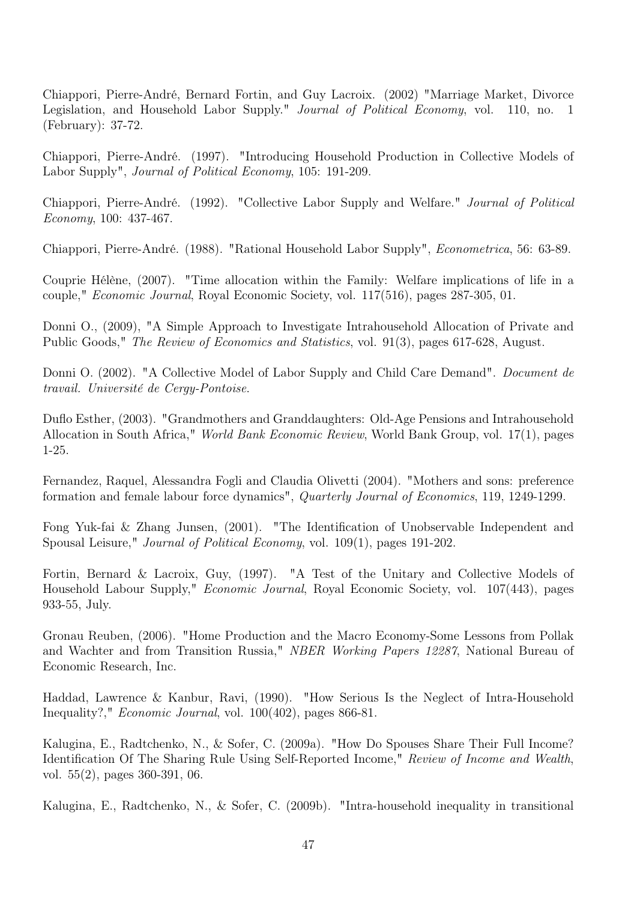Chiappori, Pierre-André, Bernard Fortin, and Guy Lacroix. (2002) "Marriage Market, Divorce Legislation, and Household Labor Supply." *Journal of Political Economy*, vol. 110, no. 1 (February): 37-72.

Chiappori, Pierre-André. (1997). "Introducing Household Production in Collective Models of Labor Supply", Journal of Political Economy, 105: 191-209.

Chiappori, Pierre-André. (1992). "Collective Labor Supply and Welfare." Journal of Political Economy, 100: 437-467.

Chiappori, Pierre-André. (1988). "Rational Household Labor Supply", Econometrica, 56: 63-89.

Couprie Hélène, (2007). "Time allocation within the Family: Welfare implications of life in a couple," Economic Journal, Royal Economic Society, vol. 117(516), pages 287-305, 01.

Donni O., (2009), "A Simple Approach to Investigate Intrahousehold Allocation of Private and Public Goods," The Review of Economics and Statistics, vol. 91(3), pages 617-628, August.

Donni O. (2002). "A Collective Model of Labor Supply and Child Care Demand". *Document de* travail. Université de Cergy-Pontoise.

Duflo Esther, (2003). "Grandmothers and Granddaughters: Old-Age Pensions and Intrahousehold Allocation in South Africa," World Bank Economic Review, World Bank Group, vol. 17(1), pages 1-25.

Fernandez, Raquel, Alessandra Fogli and Claudia Olivetti (2004). "Mothers and sons: preference formation and female labour force dynamics", Quarterly Journal of Economics, 119, 1249-1299.

Fong Yuk-fai & Zhang Junsen, (2001). "The Identification of Unobservable Independent and Spousal Leisure," Journal of Political Economy, vol. 109(1), pages 191-202.

Fortin, Bernard & Lacroix, Guy, (1997). "A Test of the Unitary and Collective Models of Household Labour Supply," Economic Journal, Royal Economic Society, vol. 107(443), pages 933-55, July.

Gronau Reuben, (2006). "Home Production and the Macro Economy-Some Lessons from Pollak and Wachter and from Transition Russia," NBER Working Papers 12287, National Bureau of Economic Research, Inc.

Haddad, Lawrence & Kanbur, Ravi, (1990). "How Serious Is the Neglect of Intra-Household Inequality?," Economic Journal, vol. 100(402), pages 866-81.

Kalugina, E., Radtchenko, N., & Sofer, C. (2009a). "How Do Spouses Share Their Full Income? Identification Of The Sharing Rule Using Self-Reported Income," Review of Income and Wealth, vol. 55(2), pages 360-391, 06.

Kalugina, E., Radtchenko, N., & Sofer, C. (2009b). "Intra-household inequality in transitional